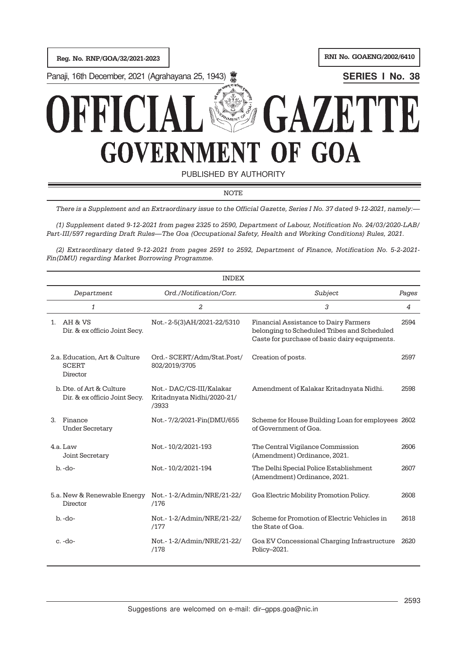Reg. No. RNP/GOA/32/2021-2023 Reg. No. GOAENG/2002/6410

**Panaji, 16th December, 2021 (Agrahayana 25, 1943) <b>SERIES I No. 38** SERIES I No. 38



PUBLISHED BY AUTHORITY

NOTE

There is a Supplement and an Extraordinary issue to the Official Gazette, Series I No. 37 dated 9-12-2021, namely:—

(1) Supplement dated 9-12-2021 from pages 2325 to 2590, Department of Labour, Notification No. 24/03/2020-LAB/ Part-III/597 regarding Draft Rules—The Goa (Occupational Safety, Health and Working Conditions) Rules, 2021.

(2) Extraordinary dated 9-12-2021 from pages 2591 to 2592, Department of Finance, Notification No. 5-2-2021- Fin(DMU) regarding Market Borrowing Programme.

|                                                           | <b>INDEX</b>                                                    |                                                                                                                                       |       |
|-----------------------------------------------------------|-----------------------------------------------------------------|---------------------------------------------------------------------------------------------------------------------------------------|-------|
| Department                                                | Ord./Notification/Corr.                                         | Subject                                                                                                                               | Pages |
| $\mathbf{1}$                                              | $\overline{a}$                                                  | 3                                                                                                                                     | 4     |
| 1. AH & VS<br>Dir. & ex officio Joint Secy.               | Not.-2-5(3)AH/2021-22/5310                                      | Financial Assistance to Dairy Farmers<br>belonging to Scheduled Tribes and Scheduled<br>Caste for purchase of basic dairy equipments. | 2594  |
| 2.a. Education, Art & Culture<br><b>SCERT</b><br>Director | Ord.- SCERT/Adm/Stat.Post/<br>802/2019/3705                     | Creation of posts.                                                                                                                    | 2597  |
| b. Dte. of Art & Culture<br>Dir. & ex officio Joint Secy. | Not.- DAC/CS-III/Kalakar<br>Kritadnyata Nidhi/2020-21/<br>/3933 | Amendment of Kalakar Kritadnyata Nidhi.                                                                                               | 2598  |
| Finance<br>$\mathcal{R}$<br><b>Under Secretary</b>        | Not.-7/2/2021-Fin(DMU/655                                       | Scheme for House Building Loan for employees 2602<br>of Government of Goa.                                                            |       |
| 4.a. Law<br>Joint Secretary                               | Not.-10/2/2021-193                                              | The Central Vigilance Commission<br>(Amendment) Ordinance, 2021.                                                                      | 2606  |
| $b. -do-$                                                 | Not.-10/2/2021-194                                              | The Delhi Special Police Establishment<br>(Amendment) Ordinance, 2021.                                                                | 2607  |
| 5.a. New & Renewable Energy<br>Director                   | Not.-1-2/Admin/NRE/21-22/<br>/176                               | Goa Electric Mobility Promotion Policy.                                                                                               | 2608  |
| $b - d$                                                   | Not.-1-2/Admin/NRE/21-22/<br>/177                               | Scheme for Promotion of Electric Vehicles in<br>the State of Goa.                                                                     | 2618  |
| $c. -do-$                                                 | Not.-1-2/Admin/NRE/21-22/<br>/178                               | Goa EV Concessional Charging Infrastructure<br>Policy-2021.                                                                           | 2620  |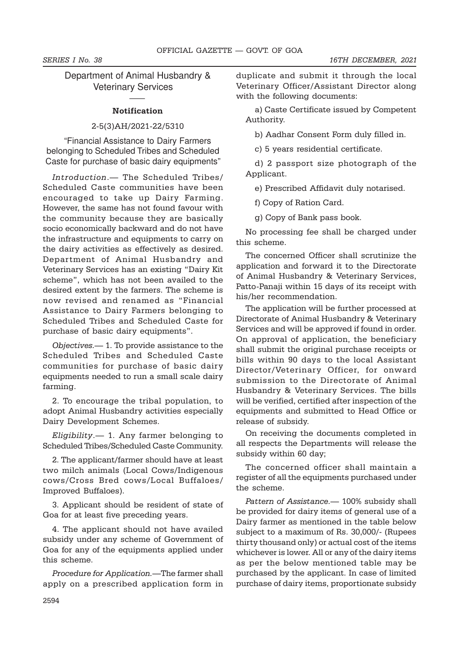# Department of Animal Husbandry & Veterinary Services

#### **Notification**

——

### 2-5(3)AH/2021-22/5310

"Financial Assistance to Dairy Farmers belonging to Scheduled Tribes and Scheduled Caste for purchase of basic dairy equipments"

Introduction.— The Scheduled Tribes/ Scheduled Caste communities have been encouraged to take up Dairy Farming. However, the same has not found favour with the community because they are basically socio economically backward and do not have the infrastructure and equipments to carry on the dairy activities as effectively as desired. Department of Animal Husbandry and Veterinary Services has an existing "Dairy Kit scheme", which has not been availed to the desired extent by the farmers. The scheme is now revised and renamed as "Financial Assistance to Dairy Farmers belonging to Scheduled Tribes and Scheduled Caste for purchase of basic dairy equipments".

Objectives.— 1. To provide assistance to the Scheduled Tribes and Scheduled Caste communities for purchase of basic dairy equipments needed to run a small scale dairy farming.

2. To encourage the tribal population, to adopt Animal Husbandry activities especially Dairy Development Schemes.

Eligibility.— 1. Any farmer belonging to Scheduled Tribes/Scheduled Caste Community.

2. The applicant/farmer should have at least two milch animals (Local Cows/Indigenous cows/Cross Bred cows/Local Buffaloes/ Improved Buffaloes).

3. Applicant should be resident of state of Goa for at least five preceding years.

4. The applicant should not have availed subsidy under any scheme of Government of Goa for any of the equipments applied under this scheme.

Procedure for Application.—The farmer shall apply on a prescribed application form in duplicate and submit it through the local Veterinary Officer/Assistant Director along with the following documents:

a) Caste Certificate issued by Competent Authority.

b) Aadhar Consent Form duly filled in.

c) 5 years residential certificate.

d) 2 passport size photograph of the Applicant.

e) Prescribed Affidavit duly notarised.

f) Copy of Ration Card.

g) Copy of Bank pass book.

No processing fee shall be charged under this scheme.

The concerned Officer shall scrutinize the application and forward it to the Directorate of Animal Husbandry & Veterinary Services, Patto-Panaji within 15 days of its receipt with his/her recommendation.

The application will be further processed at Directorate of Animal Husbandry & Veterinary Services and will be approved if found in order. On approval of application, the beneficiary shall submit the original purchase receipts or bills within 90 days to the local Assistant Director/Veterinary Officer, for onward submission to the Directorate of Animal Husbandry & Veterinary Services. The bills will be verified, certified after inspection of the equipments and submitted to Head Office or release of subsidy.

On receiving the documents completed in all respects the Departments will release the subsidy within 60 day;

The concerned officer shall maintain a register of all the equipments purchased under the scheme.

Pattern of Assistance. - 100% subsidy shall be provided for dairy items of general use of a Dairy farmer as mentioned in the table below subject to a maximum of Rs. 30,000/- (Rupees thirty thousand only) or actual cost of the items whichever is lower. All or any of the dairy items as per the below mentioned table may be purchased by the applicant. In case of limited purchase of dairy items, proportionate subsidy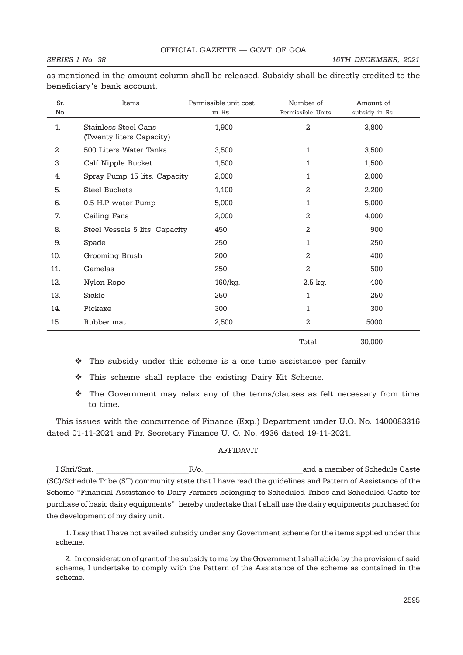#### SERIES I No. 38 16TH DECEMBER, 2021

| Sr.<br>No. | Items                                                   | Permissible unit cost<br>in Rs. | Number of<br>Permissible Units | Amount of<br>subsidy in Rs. |
|------------|---------------------------------------------------------|---------------------------------|--------------------------------|-----------------------------|
| 1.         | <b>Stainless Steel Cans</b><br>(Twenty liters Capacity) | 1,900                           | $\overline{a}$                 | 3,800                       |
| 2.         | 500 Liters Water Tanks                                  | 3,500                           | 1                              | 3,500                       |
| 3.         | Calf Nipple Bucket                                      | 1,500                           | 1                              | 1,500                       |
| 4.         | Spray Pump 15 lits. Capacity                            | 2,000                           | 1                              | 2,000                       |
| 5.         | <b>Steel Buckets</b>                                    | 1,100                           | 2                              | 2,200                       |
| 6.         | 0.5 H.P water Pump                                      | 5,000                           | 1                              | 5,000                       |
| 7.         | Ceiling Fans                                            | 2,000                           | 2                              | 4,000                       |
| 8.         | Steel Vessels 5 lits. Capacity                          | 450                             | 2                              | 900                         |
| 9.         | Spade                                                   | 250                             | 1                              | 250                         |
| 10.        | Grooming Brush                                          | 200                             | 2                              | 400                         |
| 11.        | Gamelas                                                 | 250                             | $\overline{a}$                 | 500                         |
| 12.        | Nylon Rope                                              | 160/kg.                         | 2.5 kg.                        | 400                         |
| 13.        | Sickle                                                  | 250                             | 1                              | 250                         |
| 14.        | Pickaxe                                                 | 300                             | 1                              | 300                         |
| 15.        | Rubber mat                                              | 2,500                           | 2                              | 5000                        |
|            |                                                         |                                 | Total                          | 30,000                      |

as mentioned in the amount column shall be released. Subsidy shall be directly credited to the beneficiary's bank account.

- $\cdot \cdot$  The subsidy under this scheme is a one time assistance per family.
- $\cdot \cdot$  This scheme shall replace the existing Dairy Kit Scheme.
- $\div$  The Government may relax any of the terms/clauses as felt necessary from time to time.

This issues with the concurrence of Finance (Exp.) Department under U.O. No. 1400083316 dated 01-11-2021 and Pr. Secretary Finance U. O. No. 4936 dated 19-11-2021.

#### AFFIDAVIT

I Shri/Smt. \_\_\_\_\_\_\_\_\_\_\_\_\_\_\_\_\_\_\_\_\_\_\_\_R/o. \_\_\_\_\_\_\_\_\_\_\_\_\_\_\_\_\_\_\_\_\_\_\_\_\_and a member of Schedule Caste (SC)/Schedule Tribe (ST) community state that I have read the guidelines and Pattern of Assistance of the Scheme "Financial Assistance to Dairy Farmers belonging to Scheduled Tribes and Scheduled Caste for purchase of basic dairy equipments", hereby undertake that I shall use the dairy equipments purchased for the development of my dairy unit.

1. I say that I have not availed subsidy under any Government scheme for the items applied under this scheme.

2. In consideration of grant of the subsidy to me by the Government I shall abide by the provision of said scheme, I undertake to comply with the Pattern of the Assistance of the scheme as contained in the scheme.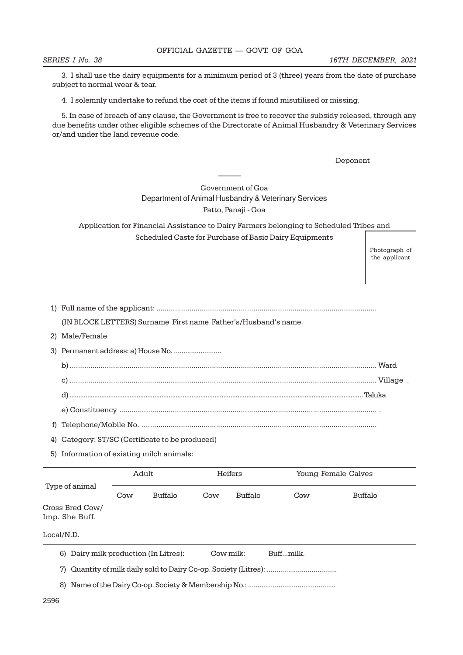3. I shall use the dairy equipments for a minimum period of 3 (three) years from the date of purchase subject to normal wear & tear.

4. I solemnly undertake to refund the cost of the items if found misutilised or missing.

5. In case of breach of any clause, the Government is free to recover the subsidy released, through any due benefits under other eligible schemes of the Directorate of Animal Husbandry & Veterinary Services or/and under the land revenue code.

Deponent

## Government of Goa Department of Animal Husbandry & Veterinary Services Patto, Panaji - Goa

———

Application for Financial Assistance to Dairy Farmers belonging to Scheduled Tribes and Scheduled Caste for Purchase of Basic Dairy Equipments

> Photograph of the applicant

|--|--|

(IN BLOCK LETTERS) Surname First name Father's/Husband's name.

2) Male/Female

3) Permanent address: a) House No. ........................ b) ..................................................................................................................................................... Ward c) ..................................................................................................................................................... Village . d) ...................................................................................................................................................................... Taluka e) Constituency ............................................................................................................................. .

f) Telephone/Mobile No. ..................................................................................................................

4) Category: ST/SC (Certificate to be produced)

5) Information of existing milch animals:

|                                   |                                                              | Adult   | Heifers<br>Young Female Calves |                |     |         |
|-----------------------------------|--------------------------------------------------------------|---------|--------------------------------|----------------|-----|---------|
| Type of animal                    | Cow                                                          | Buffalo | Cow                            | <b>Buffalo</b> | Cow | Buffalo |
| Cross Bred Cow/<br>Imp. She Buff. |                                                              |         |                                |                |     |         |
| Local/N.D.                        |                                                              |         |                                |                |     |         |
| 6)                                | Dairy milk production (In Litres):<br>Cow milk:<br>Buffmilk. |         |                                |                |     |         |
| 7)                                |                                                              |         |                                |                |     |         |
| 8)                                |                                                              |         |                                |                |     |         |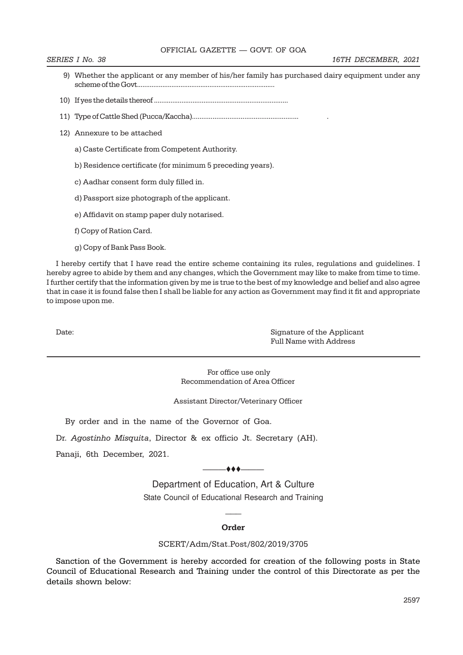#### OFFICIAL GAZETTE — GOVT. OF GOA

- 9) Whether the applicant or any member of his/her family has purchased dairy equipment under any scheme of the Govt............................................................................
- 10) If yes the details thereof .........................................................................
- 11) Type of Cattle Shed (Pucca/Kaccha)......................................................... .
- 12) Annexure to be attached
	- a) Caste Certificate from Competent Authority.
	- b) Residence certificate (for minimum 5 preceding years).
	- c) Aadhar consent form duly filled in.
	- d) Passport size photograph of the applicant.
	- e) Affidavit on stamp paper duly notarised.
	- f) Copy of Ration Card.
	- g) Copy of Bank Pass Book.

I hereby certify that I have read the entire scheme containing its rules, regulations and guidelines. I hereby agree to abide by them and any changes, which the Government may like to make from time to time. I further certify that the information given by me is true to the best of my knowledge and belief and also agree that in case it is found false then I shall be liable for any action as Government may find it fit and appropriate to impose upon me.

Date: Signature of the Applicant Full Name with Address

> For office use only Recommendation of Area Officer

Assistant Director/Veterinary Officer

By order and in the name of the Governor of Goa.

Dr. Agostinho Misquita, Director & ex officio Jt. Secretary (AH).

Panaji, 6th December, 2021.

 $\overline{\phantom{a}}$ 

Department of Education, Art & Culture State Council of Educational Research and Training

#### **Order**

 $\overline{\phantom{a}}$ 

#### SCERT/Adm/Stat.Post/802/2019/3705

Sanction of the Government is hereby accorded for creation of the following posts in State Council of Educational Research and Training under the control of this Directorate as per the details shown below: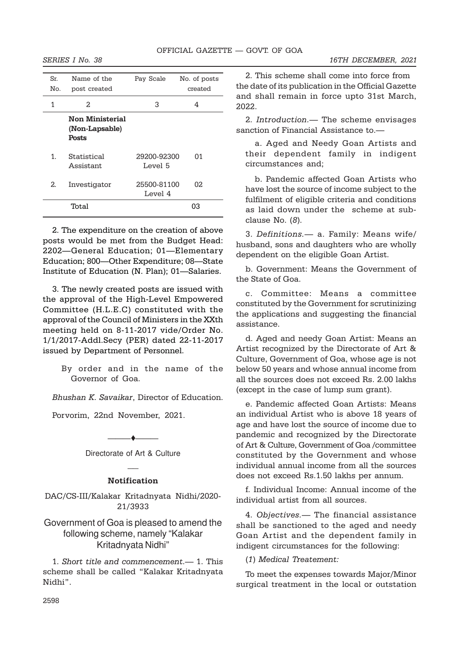2022.

| Sr.<br>No. | Name of the<br>post created                              | Pay Scale              | No. of posts<br>created |
|------------|----------------------------------------------------------|------------------------|-------------------------|
| 1          | 2.                                                       | 3                      | 4                       |
|            | <b>Non Ministerial</b><br>(Non-Lapsable)<br><b>Posts</b> |                        |                         |
| 1.         | Statistical<br>Assistant                                 | 29200-92300<br>Level 5 | 01                      |
| 2.         | Investigator                                             | 25500-81100<br>Level 4 | 02                      |
|            | Total                                                    |                        | 03                      |

2. The expenditure on the creation of above posts would be met from the Budget Head: 2202—General Education; 01—Elementary Education; 800—Other Expenditure; 08—State Institute of Education (N. Plan); 01—Salaries.

3. The newly created posts are issued with the approval of the High-Level Empowered Committee (H.L.E.C) constituted with the approval of the Council of Ministers in the XXth meeting held on 8-11-2017 vide/Order No. 1/1/2017-Addl.Secy (PER) dated 22-11-2017 issued by Department of Personnel.

By order and in the name of the Governor of Goa.

Bhushan K. Savaikar, Director of Education.

Porvorim, 22nd November, 2021.

## Directorate of Art & Culture  $\overline{\phantom{a}}$

 $\blacktriangle$ 

### Notification

DAC/CS-III/Kalakar Kritadnyata Nidhi/2020- 21/3933

# Government of Goa is pleased to amend the following scheme, namely "Kalakar Kritadnyata Nidhi"

1. Short title and commencement.— 1. This scheme shall be called "Kalakar Kritadnyata Nidhi".

2. This scheme shall come into force from the date of its publication in the Official Gazette and shall remain in force upto 31st March,

2. Introduction.— The scheme envisages sanction of Financial Assistance to.—

a. Aged and Needy Goan Artists and their dependent family in indigent circumstances and;

b. Pandemic affected Goan Artists who have lost the source of income subject to the fulfilment of eligible criteria and conditions as laid down under the scheme at subclause No. (8).

3. Definitions.— a. Family: Means wife/ husband, sons and daughters who are wholly dependent on the eligible Goan Artist.

b. Government: Means the Government of the State of Goa.

c. Committee: Means a committee constituted by the Government for scrutinizing the applications and suggesting the financial assistance.

d. Aged and needy Goan Artist: Means an Artist recognized by the Directorate of Art & Culture, Government of Goa, whose age is not below 50 years and whose annual income from all the sources does not exceed Rs. 2.00 lakhs (except in the case of lump sum grant).

e. Pandemic affected Goan Artists: Means an individual Artist who is above 18 years of age and have lost the source of income due to pandemic and recognized by the Directorate of Art & Culture, Government of Goa /committee constituted by the Government and whose individual annual income from all the sources does not exceed Rs.1.50 lakhs per annum.

f. Individual Income: Annual income of the individual artist from all sources.

4. Objectives.— The financial assistance shall be sanctioned to the aged and needy Goan Artist and the dependent family in indigent circumstances for the following:

(1) Medical Treatement:

To meet the expenses towards Major/Minor surgical treatment in the local or outstation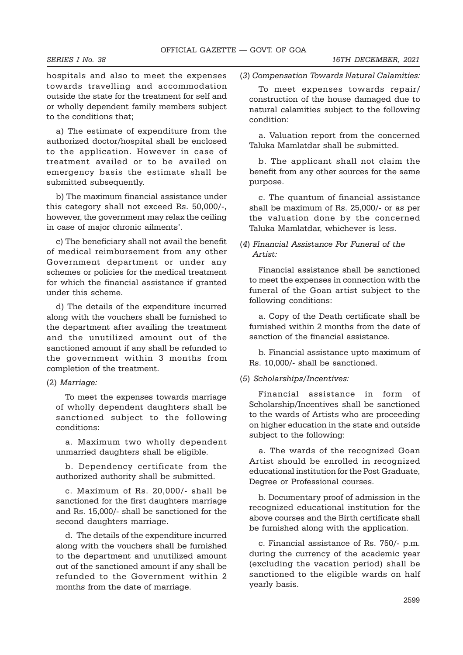hospitals and also to meet the expenses towards travelling and accommodation outside the state for the treatment for self and or wholly dependent family members subject to the conditions that;

a) The estimate of expenditure from the authorized doctor/hospital shall be enclosed to the application. However in case of treatment availed or to be availed on emergency basis the estimate shall be submitted subsequently.

b) The maximum financial assistance under this category shall not exceed Rs. 50,000/-, however, the government may relax the ceiling in case of major chronic ailments'.

c) The beneficiary shall not avail the benefit of medical reimbursement from any other Government department or under any schemes or policies for the medical treatment for which the financial assistance if granted under this scheme.

d) The details of the expenditure incurred along with the vouchers shall be furnished to the department after availing the treatment and the unutilized amount out of the sanctioned amount if any shall be refunded to the government within 3 months from completion of the treatment.

#### (2) Marriage:

To meet the expenses towards marriage of wholly dependent daughters shall be sanctioned subject to the following conditions:

a. Maximum two wholly dependent unmarried daughters shall be eligible.

b. Dependency certificate from the authorized authority shall be submitted.

c. Maximum of Rs. 20,000/- shall be sanctioned for the first daughters marriage and Rs. 15,000/- shall be sanctioned for the second daughters marriage.

d. The details of the expenditure incurred along with the vouchers shall be furnished to the department and unutilized amount out of the sanctioned amount if any shall be refunded to the Government within 2 months from the date of marriage.

(3) Compensation Towards Natural Calamities:

To meet expenses towards repair/ construction of the house damaged due to natural calamities subject to the following condition:

a. Valuation report from the concerned Taluka Mamlatdar shall be submitted.

b. The applicant shall not claim the benefit from any other sources for the same purpose.

c. The quantum of financial assistance shall be maximum of Rs. 25,000/- or as per the valuation done by the concerned Taluka Mamlatdar, whichever is less.

## (4) Financial Assistance For Funeral of the Artist:

Financial assistance shall be sanctioned to meet the expenses in connection with the funeral of the Goan artist subject to the following conditions:

a. Copy of the Death certificate shall be furnished within 2 months from the date of sanction of the financial assistance.

b. Financial assistance upto maximum of Rs. 10,000/- shall be sanctioned.

#### (5) Scholarships/Incentives:

Financial assistance in form of Scholarship/Incentives shall be sanctioned to the wards of Artists who are proceeding on higher education in the state and outside subject to the following:

a. The wards of the recognized Goan Artist should be enrolled in recognized educational institution for the Post Graduate, Degree or Professional courses.

b. Documentary proof of admission in the recognized educational institution for the above courses and the Birth certificate shall be furnished along with the application.

c. Financial assistance of Rs. 750/- p.m. during the currency of the academic year (excluding the vacation period) shall be sanctioned to the eligible wards on half yearly basis.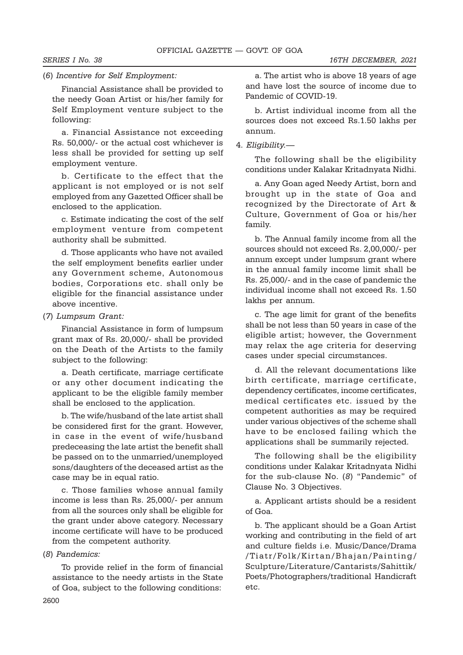## (6) Incentive for Self Employment:

Financial Assistance shall be provided to the needy Goan Artist or his/her family for Self Employment venture subject to the following:

a. Financial Assistance not exceeding Rs. 50,000/- or the actual cost whichever is less shall be provided for setting up self employment venture.

b. Certificate to the effect that the applicant is not employed or is not self employed from any Gazetted Officer shall be enclosed to the application.

c. Estimate indicating the cost of the self employment venture from competent authority shall be submitted.

d. Those applicants who have not availed the self employment benefits earlier under any Government scheme, Autonomous bodies, Corporations etc. shall only be eligible for the financial assistance under above incentive.

#### (7) Lumpsum Grant:

Financial Assistance in form of lumpsum grant max of Rs. 20,000/- shall be provided on the Death of the Artists to the family subject to the following:

a. Death certificate, marriage certificate or any other document indicating the applicant to be the eligible family member shall be enclosed to the application.

b. The wife/husband of the late artist shall be considered first for the grant. However, in case in the event of wife/husband predeceasing the late artist the benefit shall be passed on to the unmarried/unemployed sons/daughters of the deceased artist as the case may be in equal ratio.

c. Those families whose annual family income is less than Rs. 25,000/- per annum from all the sources only shall be eligible for the grant under above category. Necessary income certificate will have to be produced from the competent authority.

#### (8) Pandemics:

To provide relief in the form of financial assistance to the needy artists in the State of Goa, subject to the following conditions:

a. The artist who is above 18 years of age and have lost the source of income due to Pandemic of COVID-19.

b. Artist individual income from all the sources does not exceed Rs.1.50 lakhs per annum.

#### 4. Eligibility.—

The following shall be the eligibility conditions under Kalakar Kritadnyata Nidhi.

a. Any Goan aged Needy Artist, born and brought up in the state of Goa and recognized by the Directorate of Art & Culture, Government of Goa or his/her family.

b. The Annual family income from all the sources should not exceed Rs. 2,00,000/- per annum except under lumpsum grant where in the annual family income limit shall be Rs. 25,000/- and in the case of pandemic the individual income shall not exceed Rs. 1.50 lakhs per annum.

c. The age limit for grant of the benefits shall be not less than 50 years in case of the eligible artist; however, the Government may relax the age criteria for deserving cases under special circumstances.

d. All the relevant documentations like birth certificate, marriage certificate, dependency certificates, income certificates, medical certificates etc. issued by the competent authorities as may be required under various objectives of the scheme shall have to be enclosed failing which the applications shall be summarily rejected.

The following shall be the eligibility conditions under Kalakar Kritadnyata Nidhi for the sub-clause No. (8) "Pandemic" of Clause No. 3 Objectives.

a. Applicant artists should be a resident of Goa.

b. The applicant should be a Goan Artist working and contributing in the field of art and culture fields i.e. Music/Dance/Drama /Tiatr/Folk/Kirtan/Bhajan/Painting/ Sculpture/Literature/Cantarists/Sahittik/ Poets/Photographers/traditional Handicraft etc.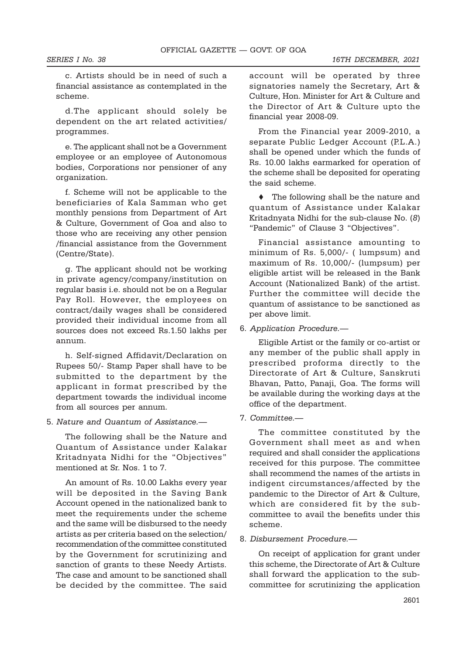c. Artists should be in need of such a financial assistance as contemplated in the scheme.

d.The applicant should solely be dependent on the art related activities/ programmes.

e. The applicant shall not be a Government employee or an employee of Autonomous bodies, Corporations nor pensioner of any organization.

f. Scheme will not be applicable to the beneficiaries of Kala Samman who get monthly pensions from Department of Art & Culture, Government of Goa and also to those who are receiving any other pension /financial assistance from the Government (Centre/State).

g. The applicant should not be working in private agency/company/institution on regular basis i.e. should not be on a Regular Pay Roll. However, the employees on contract/daily wages shall be considered provided their individual income from all sources does not exceed Rs.1.50 lakhs per annum.

h. Self-signed Affidavit/Declaration on Rupees 50/- Stamp Paper shall have to be submitted to the department by the applicant in format prescribed by the department towards the individual income from all sources per annum.

5. Nature and Quantum of Assistance.—

The following shall be the Nature and Quantum of Assistance under Kalakar Kritadnyata Nidhi for the "Objectives" mentioned at Sr. Nos. 1 to 7.

An amount of Rs. 10.00 Lakhs every year will be deposited in the Saving Bank Account opened in the nationalized bank to meet the requirements under the scheme and the same will be disbursed to the needy artists as per criteria based on the selection/ recommendation of the committee constituted by the Government for scrutinizing and sanction of grants to these Needy Artists. The case and amount to be sanctioned shall be decided by the committee. The said

account will be operated by three signatories namely the Secretary, Art & Culture, Hon. Minister for Art & Culture and the Director of Art & Culture upto the financial year 2008-09.

From the Financial year 2009-2010, a separate Public Ledger Account (P.L.A.) shall be opened under which the funds of Rs. 10.00 lakhs earmarked for operation of the scheme shall be deposited for operating the said scheme.

 $\blacklozenge$  The following shall be the nature and quantum of Assistance under Kalakar Kritadnyata Nidhi for the sub-clause No. (8) "Pandemic" of Clause 3 "Objectives".

Financial assistance amounting to minimum of Rs. 5,000/- ( lumpsum) and maximum of Rs. 10,000/- (lumpsum) per eligible artist will be released in the Bank Account (Nationalized Bank) of the artist. Further the committee will decide the quantum of assistance to be sanctioned as per above limit.

6. Application Procedure.—

Eligible Artist or the family or co-artist or any member of the public shall apply in prescribed proforma directly to the Directorate of Art & Culture, Sanskruti Bhavan, Patto, Panaji, Goa. The forms will be available during the working days at the office of the department.

7. Committee.—

The committee constituted by the Government shall meet as and when required and shall consider the applications received for this purpose. The committee shall recommend the names of the artists in indigent circumstances/affected by the pandemic to the Director of Art & Culture, which are considered fit by the subcommittee to avail the benefits under this scheme.

8. Disbursement Procedure.—

On receipt of application for grant under this scheme, the Directorate of Art & Culture shall forward the application to the subcommittee for scrutinizing the application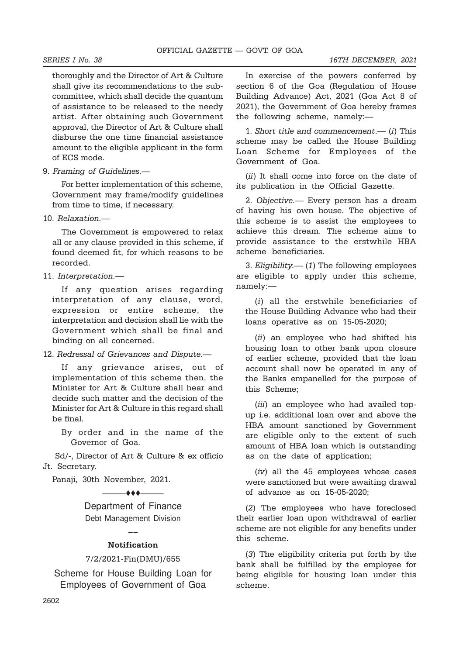thoroughly and the Director of Art & Culture shall give its recommendations to the subcommittee, which shall decide the quantum of assistance to be released to the needy artist. After obtaining such Government approval, the Director of Art & Culture shall disburse the one time financial assistance amount to the eligible applicant in the form of ECS mode.

9. Framing of Guidelines.—

For better implementation of this scheme, Government may frame/modify guidelines from time to time, if necessary.

10. Relaxation.—

The Government is empowered to relax all or any clause provided in this scheme, if found deemed fit, for which reasons to be recorded.

11. Interpretation.—

If any question arises regarding interpretation of any clause, word, expression or entire scheme, the interpretation and decision shall lie with the Government which shall be final and binding on all concerned.

12. Redressal of Grievances and Dispute.—

If any grievance arises, out of implementation of this scheme then, the Minister for Art & Culture shall hear and decide such matter and the decision of the Minister for Art & Culture in this regard shall be final.

By order and in the name of the Governor of Goa.

 Sd/-, Director of Art & Culture & ex officio Jt. Secretary.

Panaji, 30th November, 2021.

 $\bullet\bullet\bullet$ ———

Department of Finance Debt Management Division

# $\overline{\phantom{a}}$ Notification

#### 7/2/2021-Fin(DMU)/655

Scheme for House Building Loan for Employees of Government of Goa

In exercise of the powers conferred by section 6 of the Goa (Regulation of House Building Advance) Act, 2021 (Goa Act 8 of 2021), the Government of Goa hereby frames the following scheme, namely:—

1. Short title and commencement.—  $(i)$  This scheme may be called the House Building Loan Scheme for Employees of the Government of Goa.

(*ii*) It shall come into force on the date of its publication in the Official Gazette.

2. Objective.— Every person has a dream of having his own house. The objective of this scheme is to assist the employees to achieve this dream. The scheme aims to provide assistance to the erstwhile HBA scheme beneficiaries.

3. Eligibility.— (1) The following employees are eligible to apply under this scheme, namely:—

(i) all the erstwhile beneficiaries of the House Building Advance who had their loans operative as on 15-05-2020;

(ii) an employee who had shifted his housing loan to other bank upon closure of earlier scheme, provided that the loan account shall now be operated in any of the Banks empanelled for the purpose of this Scheme;

(iii) an employee who had availed topup i.e. additional loan over and above the HBA amount sanctioned by Government are eligible only to the extent of such amount of HBA loan which is outstanding as on the date of application;

(iv) all the 45 employees whose cases were sanctioned but were awaiting drawal of advance as on 15-05-2020;

(2) The employees who have foreclosed their earlier loan upon withdrawal of earlier scheme are not eligible for any benefits under this scheme.

(3) The eligibility criteria put forth by the bank shall be fulfilled by the employee for being eligible for housing loan under this scheme.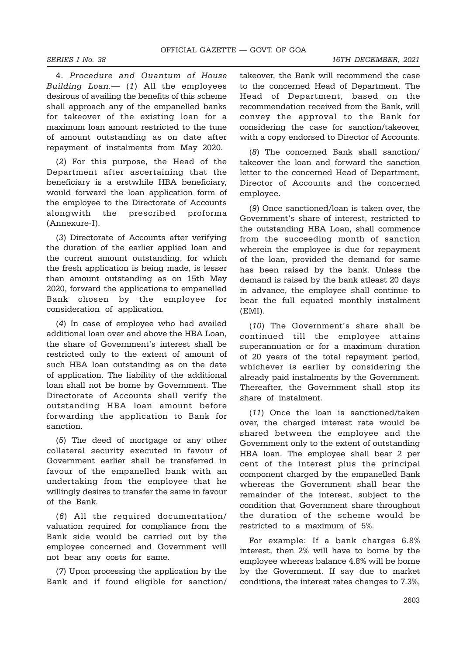4. Procedure and Quantum of House Building Loan.— (1) All the employees desirous of availing the benefits of this scheme shall approach any of the empanelled banks for takeover of the existing loan for a maximum loan amount restricted to the tune of amount outstanding as on date after repayment of instalments from May 2020.

(2) For this purpose, the Head of the Department after ascertaining that the beneficiary is a erstwhile HBA beneficiary, would forward the loan application form of the employee to the Directorate of Accounts alongwith the prescribed proforma (Annexure-I).

(3) Directorate of Accounts after verifying the duration of the earlier applied loan and the current amount outstanding, for which the fresh application is being made, is lesser than amount outstanding as on 15th May 2020, forward the applications to empanelled Bank chosen by the employee for consideration of application.

(4) In case of employee who had availed additional loan over and above the HBA Loan, the share of Government's interest shall be restricted only to the extent of amount of such HBA loan outstanding as on the date of application. The liability of the additional loan shall not be borne by Government. The Directorate of Accounts shall verify the outstanding HBA loan amount before forwarding the application to Bank for sanction.

(5) The deed of mortgage or any other collateral security executed in favour of Government earlier shall be transferred in favour of the empanelled bank with an undertaking from the employee that he willingly desires to transfer the same in favour of the Bank.

(6) All the required documentation/ valuation required for compliance from the Bank side would be carried out by the employee concerned and Government will not bear any costs for same.

(7) Upon processing the application by the Bank and if found eligible for sanction/ takeover, the Bank will recommend the case to the concerned Head of Department. The Head of Department, based on the recommendation received from the Bank, will convey the approval to the Bank for considering the case for sanction/takeover, with a copy endorsed to Director of Accounts.

(8) The concerned Bank shall sanction/ takeover the loan and forward the sanction letter to the concerned Head of Department, Director of Accounts and the concerned employee.

(9) Once sanctioned/loan is taken over, the Government's share of interest, restricted to the outstanding HBA Loan, shall commence from the succeeding month of sanction wherein the employee is due for repayment of the loan, provided the demand for same has been raised by the bank. Unless the demand is raised by the bank atleast 20 days in advance, the employee shall continue to bear the full equated monthly instalment (EMI).

(10) The Government's share shall be continued till the employee attains superannuation or for a maximum duration of 20 years of the total repayment period, whichever is earlier by considering the already paid instalments by the Government. Thereafter, the Government shall stop its share of instalment.

(11) Once the loan is sanctioned/taken over, the charged interest rate would be shared between the employee and the Government only to the extent of outstanding HBA loan. The employee shall bear 2 per cent of the interest plus the principal component charged by the empanelled Bank whereas the Government shall bear the remainder of the interest, subject to the condition that Government share throughout the duration of the scheme would be restricted to a maximum of 5%.

For example: If a bank charges 6.8% interest, then 2% will have to borne by the employee whereas balance 4.8% will be borne by the Government. If say due to market conditions, the interest rates changes to 7.3%,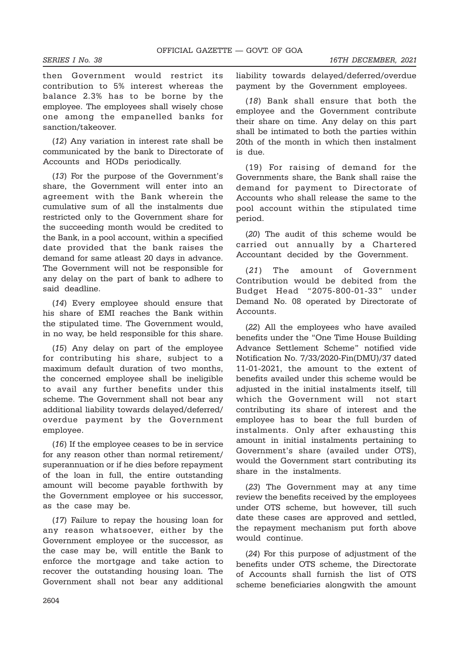then Government would restrict its contribution to 5% interest whereas the balance 2.3% has to be borne by the employee. The employees shall wisely chose one among the empanelled banks for sanction/takeover.

(12) Any variation in interest rate shall be communicated by the bank to Directorate of Accounts and HODs periodically.

(13) For the purpose of the Government's share, the Government will enter into an agreement with the Bank wherein the cumulative sum of all the instalments due restricted only to the Government share for the succeeding month would be credited to the Bank, in a pool account, within a specified date provided that the bank raises the demand for same atleast 20 days in advance. The Government will not be responsible for any delay on the part of bank to adhere to said deadline.

(14) Every employee should ensure that his share of EMI reaches the Bank within the stipulated time. The Government would, in no way, be held responsible for this share.

(15) Any delay on part of the employee for contributing his share, subject to a maximum default duration of two months, the concerned employee shall be ineligible to avail any further benefits under this scheme. The Government shall not bear any additional liability towards delayed/deferred/ overdue payment by the Government employee.

(16) If the employee ceases to be in service for any reason other than normal retirement/ superannuation or if he dies before repayment of the loan in full, the entire outstanding amount will become payable forthwith by the Government employee or his successor, as the case may be.

(17) Failure to repay the housing loan for any reason whatsoever, either by the Government employee or the successor, as the case may be, will entitle the Bank to enforce the mortgage and take action to recover the outstanding housing loan. The Government shall not bear any additional

liability towards delayed/deferred/overdue payment by the Government employees.

(18) Bank shall ensure that both the employee and the Government contribute their share on time. Any delay on this part shall be intimated to both the parties within 20th of the month in which then instalment is due.

(19) For raising of demand for the Governments share, the Bank shall raise the demand for payment to Directorate of Accounts who shall release the same to the pool account within the stipulated time period.

(20) The audit of this scheme would be carried out annually by a Chartered Accountant decided by the Government.

(21) The amount of Government Contribution would be debited from the Budget Head "2075-800-01-33" under Demand No. 08 operated by Directorate of Accounts.

(22) All the employees who have availed benefits under the "One Time House Building Advance Settlement Scheme" notified vide Notification No. 7/33/2020-Fin(DMU)/37 dated 11-01-2021, the amount to the extent of benefits availed under this scheme would be adjusted in the initial instalments itself, till which the Government will not start contributing its share of interest and the employee has to bear the full burden of instalments. Only after exhausting this amount in initial instalments pertaining to Government's share (availed under OTS), would the Government start contributing its share in the instalments.

(23) The Government may at any time review the benefits received by the employees under OTS scheme, but however, till such date these cases are approved and settled, the repayment mechanism put forth above would continue.

(24) For this purpose of adjustment of the benefits under OTS scheme, the Directorate of Accounts shall furnish the list of OTS scheme beneficiaries alongwith the amount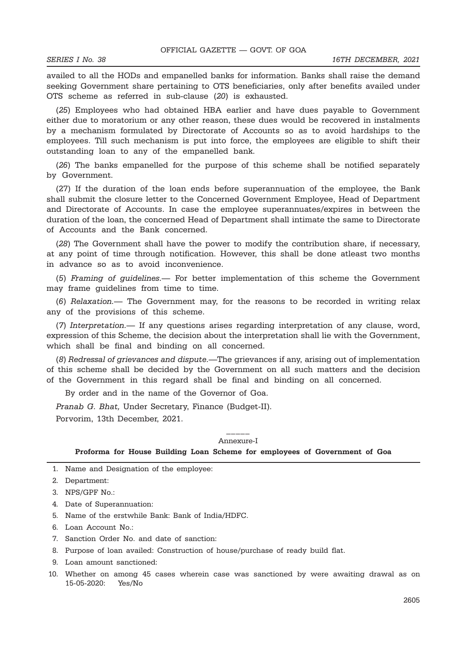availed to all the HODs and empanelled banks for information. Banks shall raise the demand seeking Government share pertaining to OTS beneficiaries, only after benefits availed under OTS scheme as referred in sub-clause (20) is exhausted.

(25) Employees who had obtained HBA earlier and have dues payable to Government either due to moratorium or any other reason, these dues would be recovered in instalments by a mechanism formulated by Directorate of Accounts so as to avoid hardships to the employees. Till such mechanism is put into force, the employees are eligible to shift their outstanding loan to any of the empanelled bank.

(26) The banks empanelled for the purpose of this scheme shall be notified separately by Government.

(27) If the duration of the loan ends before superannuation of the employee, the Bank shall submit the closure letter to the Concerned Government Employee, Head of Department and Directorate of Accounts. In case the employee superannuates/expires in between the duration of the loan, the concerned Head of Department shall intimate the same to Directorate of Accounts and the Bank concerned.

(28) The Government shall have the power to modify the contribution share, if necessary, at any point of time through notification. However, this shall be done atleast two months in advance so as to avoid inconvenience.

(5) Framing of guidelines.— For better implementation of this scheme the Government may frame guidelines from time to time.

(6) Relaxation.— The Government may, for the reasons to be recorded in writing relax any of the provisions of this scheme.

(7) Interpretation.— If any questions arises regarding interpretation of any clause, word, expression of this Scheme, the decision about the interpretation shall lie with the Government, which shall be final and binding on all concerned.

(8) Redressal of grievances and dispute.—The grievances if any, arising out of implementation of this scheme shall be decided by the Government on all such matters and the decision of the Government in this regard shall be final and binding on all concerned.

By order and in the name of the Governor of Goa.

Pranab G. Bhat, Under Secretary, Finance (Budget-II).

Porvorim, 13th December, 2021.

#### \_\_\_\_\_ Annexure-I

Proforma for House Building Loan Scheme for employees of Government of Goa

1. Name and Designation of the employee:

- 2. Department:
- 3. NPS/GPF No.:
- 4. Date of Superannuation:
- 5. Name of the erstwhile Bank: Bank of India/HDFC.
- 6. Loan Account No.:
- 7. Sanction Order No. and date of sanction:
- 8. Purpose of loan availed: Construction of house/purchase of ready build flat.
- 9. Loan amount sanctioned:
- 10. Whether on among 45 cases wherein case was sanctioned by were awaiting drawal as on 15-05-2020: Yes/No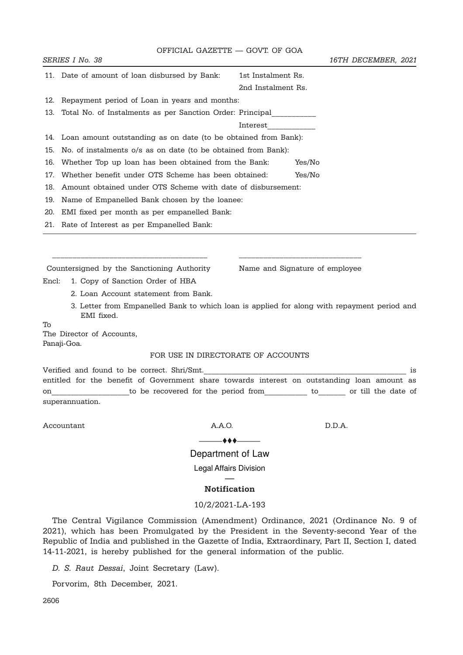| OFFICIAL GAZETTE - GOVT. OF GOA<br>SERIES I No. 38<br>16TH DECEMBER, 2021<br>11. Date of amount of loan disbursed by Bank:<br>1st Instalment Rs.<br>2nd Instalment Rs.<br>Repayment period of Loan in years and months:<br>12.<br>Total No. of Instalments as per Sanction Order: Principal<br>13.<br>Interest<br>14. Loan amount outstanding as on date (to be obtained from Bank):<br>No. of instalments o/s as on date (to be obtained from Bank):<br>15.<br>Yes/No<br>Whether Top up loan has been obtained from the Bank:<br>16.<br>Whether benefit under OTS Scheme has been obtained:<br>Yes/No<br>17.<br>Amount obtained under OTS Scheme with date of disbursement:<br>18.<br>Name of Empanelled Bank chosen by the loanee:<br>19.<br>EMI fixed per month as per empanelled Bank:<br>20.<br>21. Rate of Interest as per Empanelled Bank: |
|---------------------------------------------------------------------------------------------------------------------------------------------------------------------------------------------------------------------------------------------------------------------------------------------------------------------------------------------------------------------------------------------------------------------------------------------------------------------------------------------------------------------------------------------------------------------------------------------------------------------------------------------------------------------------------------------------------------------------------------------------------------------------------------------------------------------------------------------------|
|                                                                                                                                                                                                                                                                                                                                                                                                                                                                                                                                                                                                                                                                                                                                                                                                                                                   |
|                                                                                                                                                                                                                                                                                                                                                                                                                                                                                                                                                                                                                                                                                                                                                                                                                                                   |
|                                                                                                                                                                                                                                                                                                                                                                                                                                                                                                                                                                                                                                                                                                                                                                                                                                                   |
|                                                                                                                                                                                                                                                                                                                                                                                                                                                                                                                                                                                                                                                                                                                                                                                                                                                   |
|                                                                                                                                                                                                                                                                                                                                                                                                                                                                                                                                                                                                                                                                                                                                                                                                                                                   |
|                                                                                                                                                                                                                                                                                                                                                                                                                                                                                                                                                                                                                                                                                                                                                                                                                                                   |
|                                                                                                                                                                                                                                                                                                                                                                                                                                                                                                                                                                                                                                                                                                                                                                                                                                                   |
|                                                                                                                                                                                                                                                                                                                                                                                                                                                                                                                                                                                                                                                                                                                                                                                                                                                   |
|                                                                                                                                                                                                                                                                                                                                                                                                                                                                                                                                                                                                                                                                                                                                                                                                                                                   |
|                                                                                                                                                                                                                                                                                                                                                                                                                                                                                                                                                                                                                                                                                                                                                                                                                                                   |
|                                                                                                                                                                                                                                                                                                                                                                                                                                                                                                                                                                                                                                                                                                                                                                                                                                                   |
|                                                                                                                                                                                                                                                                                                                                                                                                                                                                                                                                                                                                                                                                                                                                                                                                                                                   |
|                                                                                                                                                                                                                                                                                                                                                                                                                                                                                                                                                                                                                                                                                                                                                                                                                                                   |
|                                                                                                                                                                                                                                                                                                                                                                                                                                                                                                                                                                                                                                                                                                                                                                                                                                                   |
|                                                                                                                                                                                                                                                                                                                                                                                                                                                                                                                                                                                                                                                                                                                                                                                                                                                   |
| Countersigned by the Sanctioning Authority<br>Name and Signature of employee                                                                                                                                                                                                                                                                                                                                                                                                                                                                                                                                                                                                                                                                                                                                                                      |
| Encl:<br>1. Copy of Sanction Order of HBA                                                                                                                                                                                                                                                                                                                                                                                                                                                                                                                                                                                                                                                                                                                                                                                                         |
| 2. Loan Account statement from Bank.                                                                                                                                                                                                                                                                                                                                                                                                                                                                                                                                                                                                                                                                                                                                                                                                              |
| 3. Letter from Empanelled Bank to which loan is applied for along with repayment period and<br>EMI fixed.                                                                                                                                                                                                                                                                                                                                                                                                                                                                                                                                                                                                                                                                                                                                         |
| To                                                                                                                                                                                                                                                                                                                                                                                                                                                                                                                                                                                                                                                                                                                                                                                                                                                |
| The Director of Accounts,<br>Panaji-Goa.                                                                                                                                                                                                                                                                                                                                                                                                                                                                                                                                                                                                                                                                                                                                                                                                          |
| FOR USE IN DIRECTORATE OF ACCOUNTS                                                                                                                                                                                                                                                                                                                                                                                                                                                                                                                                                                                                                                                                                                                                                                                                                |
|                                                                                                                                                                                                                                                                                                                                                                                                                                                                                                                                                                                                                                                                                                                                                                                                                                                   |
| Verified and found to be correct. Shri/Smt.<br>is<br>entitled for the benefit of Government share towards interest on outstanding loan amount as                                                                                                                                                                                                                                                                                                                                                                                                                                                                                                                                                                                                                                                                                                  |
| to be recovered for the period from<br>or till the date of<br>to<br>on                                                                                                                                                                                                                                                                                                                                                                                                                                                                                                                                                                                                                                                                                                                                                                            |

Accountant  $A.A.O.$  D.D.A.

superannuation.

 $\longrightarrow$ Department of Law

Legal Affairs Division

### –– Notification

#### 10/2/2021-LA-193

The Central Vigilance Commission (Amendment) Ordinance, 2021 (Ordinance No. 9 of 2021), which has been Promulgated by the President in the Seventy-second Year of the Republic of India and published in the Gazette of India, Extraordinary, Part II, Section I, dated 14-11-2021, is hereby published for the general information of the public.

D. S. Raut Dessai, Joint Secretary (Law).

Porvorim, 8th December, 2021.

2606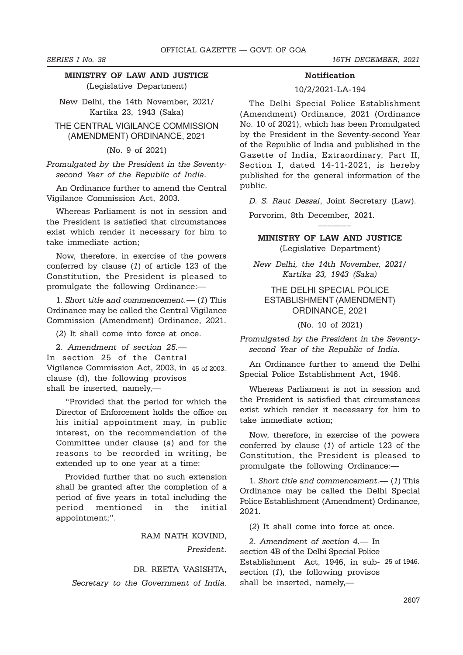## MINISTRY OF LAW AND JUSTICE (Legislative Department)

New Delhi, the 14th November, 2021/ Kartika 23, 1943 (Saka)

THE CENTRAL VIGILANCE COMMISSION (AMENDMENT) ORDINANCE, 2021

(No. 9 of 2021)

Promulgated by the President in the Seventysecond Year of the Republic of India.

An Ordinance further to amend the Central Vigilance Commission Act, 2003.

Whereas Parliament is not in session and the President is satisfied that circumstances exist which render it necessary for him to take immediate action;

Now, therefore, in exercise of the powers conferred by clause (1) of article 123 of the Constitution, the President is pleased to promulgate the following Ordinance:—

1. Short title and commencement.— (1) This Ordinance may be called the Central Vigilance Commission (Amendment) Ordinance, 2021.

(2) It shall come into force at once.

2. Amendment of section 25.—

In section 25 of the Central

Vigilance Commission Act, 2003, in 45 of 2003. clause (d), the following provisos shall be inserted, namely,—

"Provided that the period for which the Director of Enforcement holds the office on his initial appointment may, in public interest, on the recommendation of the Committee under clause (a) and for the reasons to be recorded in writing, be extended up to one year at a time:

Provided further that no such extension shall be granted after the completion of a period of five years in total including the period mentioned in the initial appointment;".

RAM NATH KOVIND,

President.

### DR. REETA VASISHTA,

Secretary to the Government of India.

#### SERIES I No. 38 16TH DECEMBER, 2021

### **Notification**

### 10/2/2021-LA-194

The Delhi Special Police Establishment (Amendment) Ordinance, 2021 (Ordinance No. 10 of 2021), which has been Promulgated by the President in the Seventy-second Year of the Republic of India and published in the Gazette of India, Extraordinary, Part II, Section I, dated 14-11-2021, is hereby published for the general information of the public.

D. S. Raut Dessai, Joint Secretary (Law).

–––––––

Porvorim, 8th December, 2021.

## MINISTRY OF LAW AND JUSTICE (Legislative Department)

New Delhi, the 14th November, 2021/ Kartika 23, 1943 (Saka)

## THE DELHI SPECIAL POLICE ESTABLISHMENT (AMENDMENT) ORDINANCE, 2021

(No. 10 of 2021)

Promulgated by the President in the Seventysecond Year of the Republic of India.

An Ordinance further to amend the Delhi Special Police Establishment Act, 1946.

Whereas Parliament is not in session and the President is satisfied that circumstances exist which render it necessary for him to take immediate action;

Now, therefore, in exercise of the powers conferred by clause (1) of article 123 of the Constitution, the President is pleased to promulgate the following Ordinance:—

1. Short title and commencement.— (1) This Ordinance may be called the Delhi Special Police Establishment (Amendment) Ordinance, 2021.

(2) It shall come into force at once.

2. Amendment of section 4.— In section 4B of the Delhi Special Police Establishment Act, 1946, in sub-25 of 1946.section  $(1)$ , the following provisos shall be inserted, namely,—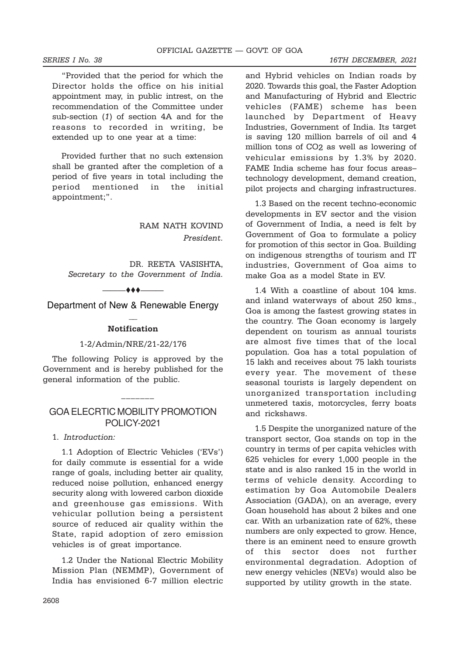"Provided that the period for which the Director holds the office on his initial appointment may, in public intrest, on the recommendation of the Committee under sub-section (1) of section 4A and for the reasons to recorded in writing, be extended up to one year at a time:

Provided further that no such extension shall be granted after the completion of a period of five years in total including the period mentioned in the initial appointment;".

> RAM NATH KOVIND President.

DR. REETA VASISHTA, Secretary to the Government of India.

 $+$  +  $+$   $-$ 

Department of New & Renewable Energy  $\overline{a}$ 

#### **Notification**

#### 1-2/Admin/NRE/21-22/176

The following Policy is approved by the Government and is hereby published for the general information of the public.

## GOA ELECRTIC MOBILITY PROMOTION POLICY-2021

 $-$ 

## 1. Introduction:

1.1 Adoption of Electric Vehicles ('EVs') for daily commute is essential for a wide range of goals, including better air quality, reduced noise pollution, enhanced energy security along with lowered carbon dioxide and greenhouse gas emissions. With vehicular pollution being a persistent source of reduced air quality within the State, rapid adoption of zero emission vehicles is of great importance.

1.2 Under the National Electric Mobility Mission Plan (NEMMP), Government of India has envisioned 6-7 million electric

and Hybrid vehicles on Indian roads by 2020. Towards this goal, the Faster Adoption and Manufacturing of Hybrid and Electric vehicles (FAME) scheme has been launched by Department of Heavy Industries, Government of India. Its target is saving 120 million barrels of oil and 4 million tons of CO2 as well as lowering of vehicular emissions by 1.3% by 2020. FAME India scheme has four focus areas– technology development, demand creation, pilot projects and charging infrastructures.

1.3 Based on the recent techno-economic developments in EV sector and the vision of Government of India, a need is felt by Government of Goa to formulate a policy for promotion of this sector in Goa. Building on indigenous strengths of tourism and IT industries, Government of Goa aims to make Goa as a model State in EV.

1.4 With a coastline of about 104 kms. and inland waterways of about 250 kms., Goa is among the fastest growing states in the country. The Goan economy is largely dependent on tourism as annual tourists are almost five times that of the local population. Goa has a total population of 15 lakh and receives about 75 lakh tourists every year. The movement of these seasonal tourists is largely dependent on unorganized transportation including unmetered taxis, motorcycles, ferry boats and rickshaws.

1.5 Despite the unorganized nature of the transport sector, Goa stands on top in the country in terms of per capita vehicles with 625 vehicles for every 1,000 people in the state and is also ranked 15 in the world in terms of vehicle density. According to estimation by Goa Automobile Dealers Association (GADA), on an average, every Goan household has about 2 bikes and one car. With an urbanization rate of 62%, these numbers are only expected to grow. Hence, there is an eminent need to ensure growth of this sector does not further environmental degradation. Adoption of new energy vehicles (NEVs) would also be supported by utility growth in the state.

#### SERIES I No. 38 16TH DECEMBER, 2021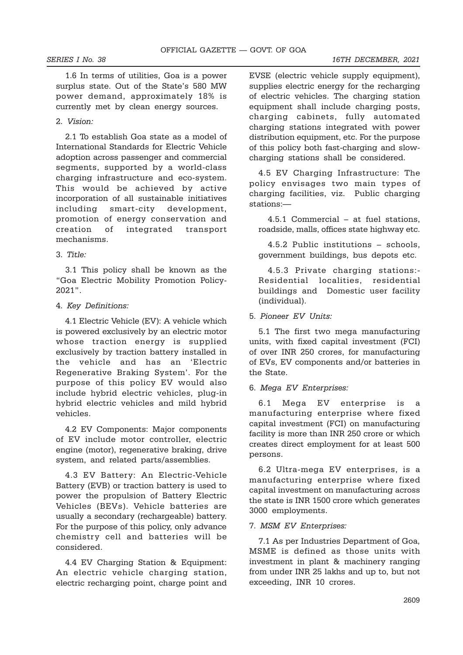SERIES I No. 38 16TH DECEMBER, 2021

1.6 In terms of utilities, Goa is a power surplus state. Out of the State's 580 MW power demand, approximately 18% is currently met by clean energy sources.

### 2. Vision:

2.1 To establish Goa state as a model of International Standards for Electric Vehicle adoption across passenger and commercial segments, supported by a world-class charging infrastructure and eco-system. This would be achieved by active incorporation of all sustainable initiatives including smart-city development, promotion of energy conservation and creation of integrated transport mechanisms.

#### 3. Title:

3.1 This policy shall be known as the "Goa Electric Mobility Promotion Policy-2021".

#### 4. Key Definitions:

4.1 Electric Vehicle (EV): A vehicle which is powered exclusively by an electric motor whose traction energy is supplied exclusively by traction battery installed in the vehicle and has an 'Electric Regenerative Braking System'. For the purpose of this policy EV would also include hybrid electric vehicles, plug-in hybrid electric vehicles and mild hybrid vehicles.

4.2 EV Components: Major components of EV include motor controller, electric engine (motor), regenerative braking, drive system, and related parts/assemblies.

4.3 EV Battery: An Electric-Vehicle Battery (EVB) or traction battery is used to power the propulsion of Battery Electric Vehicles (BEVs). Vehicle batteries are usually a secondary (rechargeable) battery. For the purpose of this policy, only advance chemistry cell and batteries will be considered.

4.4 EV Charging Station & Equipment: An electric vehicle charging station, electric recharging point, charge point and EVSE (electric vehicle supply equipment), supplies electric energy for the recharging of electric vehicles. The charging station equipment shall include charging posts, charging cabinets, fully automated charging stations integrated with power distribution equipment, etc. For the purpose of this policy both fast-charging and slowcharging stations shall be considered.

4.5 EV Charging Infrastructure: The policy envisages two main types of charging facilities, viz. Public charging stations:—

4.5.1 Commercial – at fuel stations, roadside, malls, offices state highway etc.

4.5.2 Public institutions – schools, government buildings, bus depots etc.

4.5.3 Private charging stations:- Residential localities, residential buildings and Domestic user facility (individual).

#### 5. Pioneer EV Units:

5.1 The first two mega manufacturing units, with fixed capital investment (FCI) of over INR 250 crores, for manufacturing of EVs, EV components and/or batteries in the State.

### 6. Mega EV Enterprises:

6.1 Mega EV enterprise is a manufacturing enterprise where fixed capital investment (FCI) on manufacturing facility is more than INR 250 crore or which creates direct employment for at least 500 persons.

6.2 Ultra-mega EV enterprises, is a manufacturing enterprise where fixed capital investment on manufacturing across the state is INR 1500 crore which generates 3000 employments.

#### 7. MSM EV Enterprises:

7.1 As per Industries Department of Goa, MSME is defined as those units with investment in plant & machinery ranging from under INR 25 lakhs and up to, but not exceeding, INR 10 crores.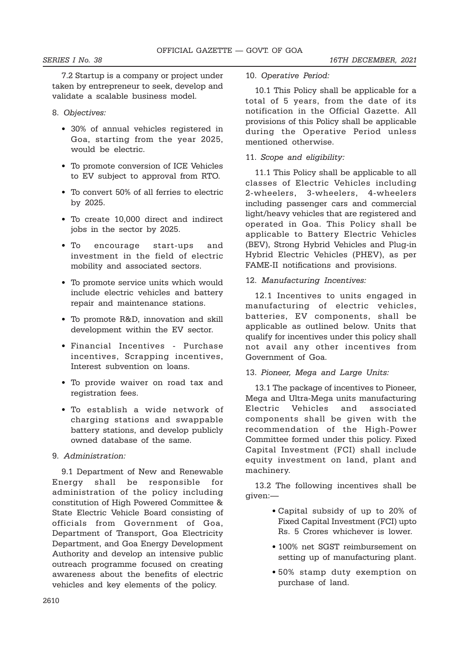7.2 Startup is a company or project under taken by entrepreneur to seek, develop and validate a scalable business model.

- 8. Objectives:
	- 30% of annual vehicles registered in Goa, starting from the year 2025, would be electric.
	- To promote conversion of ICE Vehicles to EV subject to approval from RTO.
	- To convert 50% of all ferries to electric by 2025.
	- To create 10,000 direct and indirect jobs in the sector by 2025.
	- To encourage start-ups and investment in the field of electric mobility and associated sectors.
	- To promote service units which would include electric vehicles and battery repair and maintenance stations.
	- To promote R&D, innovation and skill development within the EV sector.
	- Financial Incentives Purchase incentives, Scrapping incentives, Interest subvention on loans.
	- To provide waiver on road tax and registration fees.
	- To establish a wide network of charging stations and swappable battery stations, and develop publicly owned database of the same.
- 9. Administration:

9.1 Department of New and Renewable Energy shall be responsible for administration of the policy including constitution of High Powered Committee & State Electric Vehicle Board consisting of officials from Government of Goa, Department of Transport, Goa Electricity Department, and Goa Energy Development Authority and develop an intensive public outreach programme focused on creating awareness about the benefits of electric vehicles and key elements of the policy.

10. Operative Period:

10.1 This Policy shall be applicable for a total of 5 years, from the date of its notification in the Official Gazette. All provisions of this Policy shall be applicable during the Operative Period unless mentioned otherwise.

11. Scope and eligibility:

11.1 This Policy shall be applicable to all classes of Electric Vehicles including 2-wheelers, 3-wheelers, 4-wheelers including passenger cars and commercial light/heavy vehicles that are registered and operated in Goa. This Policy shall be applicable to Battery Electric Vehicles (BEV), Strong Hybrid Vehicles and Plug-in Hybrid Electric Vehicles (PHEV), as per FAME-II notifications and provisions.

## 12. Manufacturing Incentives:

12.1 Incentives to units engaged in manufacturing of electric vehicles, batteries, EV components, shall be applicable as outlined below. Units that qualify for incentives under this policy shall not avail any other incentives from Government of Goa.

### 13. Pioneer, Mega and Large Units:

13.1 The package of incentives to Pioneer, Mega and Ultra-Mega units manufacturing Electric Vehicles and associated components shall be given with the recommendation of the High-Power Committee formed under this policy. Fixed Capital Investment (FCI) shall include equity investment on land, plant and machinery.

13.2 The following incentives shall be given:—

- Capital subsidy of up to 20% of Fixed Capital Investment (FCI) upto Rs. 5 Crores whichever is lower.
- 100% net SGST reimbursement on setting up of manufacturing plant.
- 50% stamp duty exemption on purchase of land.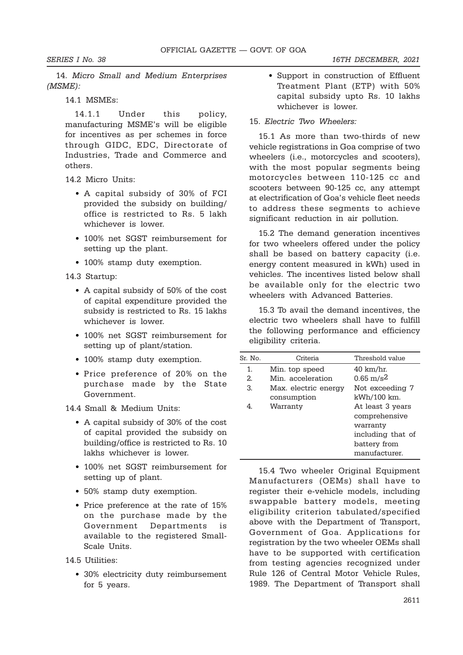14. Micro Small and Medium Enterprises (MSME):

14.1 MSMEs:

14.1.1 Under this policy, manufacturing MSME's will be eligible for incentives as per schemes in force through GIDC, EDC, Directorate of Industries, Trade and Commerce and others.

14.2 Micro Units:

- A capital subsidy of 30% of FCI provided the subsidy on building/ office is restricted to Rs. 5 lakh whichever is lower.
- 100% net SGST reimbursement for setting up the plant.
- 100% stamp duty exemption.
- 14.3 Startup:
	- A capital subsidy of 50% of the cost of capital expenditure provided the subsidy is restricted to Rs. 15 lakhs whichever is lower.
	- 100% net SGST reimbursement for setting up of plant/station.
	- 100% stamp duty exemption.
	- Price preference of 20% on the purchase made by the State Government.

14.4 Small & Medium Units:

- A capital subsidy of 30% of the cost of capital provided the subsidy on building/office is restricted to Rs. 10 lakhs whichever is lower.
- 100% net SGST reimbursement for setting up of plant.
- 50% stamp duty exemption.
- Price preference at the rate of 15% on the purchase made by the Government Departments is available to the registered Small-Scale Units.

14.5 Utilities:

• 30% electricity duty reimbursement for 5 years.

• Support in construction of Effluent Treatment Plant (ETP) with 50% capital subsidy upto Rs. 10 lakhs whichever is lower.

### 15. Electric Two Wheelers:

15.1 As more than two-thirds of new vehicle registrations in Goa comprise of two wheelers (i.e., motorcycles and scooters), with the most popular segments being motorcycles between 110-125 cc and scooters between 90-125 cc, any attempt at electrification of Goa's vehicle fleet needs to address these segments to achieve significant reduction in air pollution.

15.2 The demand generation incentives for two wheelers offered under the policy shall be based on battery capacity (i.e. energy content measured in kWh) used in vehicles. The incentives listed below shall be available only for the electric two wheelers with Advanced Batteries.

15.3 To avail the demand incentives, the electric two wheelers shall have to fulfill the following performance and efficiency eligibility criteria.

| Sr. No. | Criteria             | Threshold value         |
|---------|----------------------|-------------------------|
| 1.      | Min. top speed       | $40 \;{\rm km/hr}.$     |
| 2.      | Min. acceleration    | $0.65 \,\mathrm{m/s^2}$ |
| 3.      | Max. electric energy | Not exceeding 7         |
|         | consumption          | kWh/100 km.             |
| 4.      | Warranty             | At least 3 years        |
|         |                      | comprehensive           |
|         |                      | warranty                |
|         |                      | including that of       |
|         |                      | battery from            |
|         |                      | manufacturer.           |
|         |                      |                         |

15.4 Two wheeler Original Equipment Manufacturers (OEMs) shall have to register their e-vehicle models, including swappable battery models, meeting eligibility criterion tabulated/specified above with the Department of Transport, Government of Goa. Applications for registration by the two wheeler OEMs shall have to be supported with certification from testing agencies recognized under Rule 126 of Central Motor Vehicle Rules, 1989. The Department of Transport shall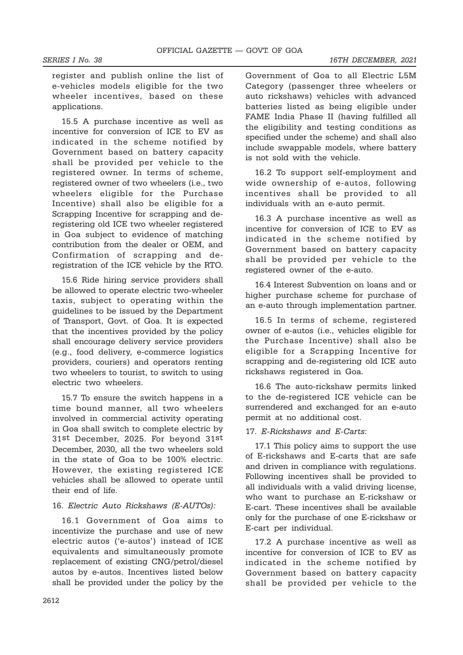register and publish online the list of e-vehicles models eligible for the two wheeler incentives, based on these applications.

15.5 A purchase incentive as well as incentive for conversion of ICE to EV as indicated in the scheme notified by Government based on battery capacity shall be provided per vehicle to the registered owner. In terms of scheme, registered owner of two wheelers (i.e., two wheelers eligible for the Purchase Incentive) shall also be eligible for a Scrapping Incentive for scrapping and deregistering old ICE two wheeler registered in Goa subject to evidence of matching contribution from the dealer or OEM, and Confirmation of scrapping and deregistration of the ICE vehicle by the RTO.

15.6 Ride hiring service providers shall be allowed to operate electric two-wheeler taxis, subject to operating within the guidelines to be issued by the Department of Transport, Govt. of Goa. It is expected that the incentives provided by the policy shall encourage delivery service providers (e.g., food delivery, e-commerce logistics providers, couriers) and operators renting two wheelers to tourist, to switch to using electric two wheelers.

15.7 To ensure the switch happens in a time bound manner, all two wheelers involved in commercial activity operating in Goa shall switch to complete electric by 31st December, 2025. For beyond 31st December, 2030, all the two wheelers sold in the state of Goa to be 100% electric. However, the existing registered ICE vehicles shall be allowed to operate until their end of life.

## 16. Electric Auto Rickshaws (E-AUTOs):

16.1 Government of Goa aims to incentivize the purchase and use of new electric autos ('e-autos') instead of ICE equivalents and simultaneously promote replacement of existing CNG/petrol/diesel autos by e-autos. Incentives listed below shall be provided under the policy by the Government of Goa to all Electric L5M Category (passenger three wheelers or auto rickshaws) vehicles with advanced batteries listed as being eligible under FAME India Phase II (having fulfilled all the eligibility and testing conditions as specified under the scheme) and shall also include swappable models, where battery is not sold with the vehicle.

16.2 To support self-employment and wide ownership of e-autos, following incentives shall be provided to all individuals with an e-auto permit.

16.3 A purchase incentive as well as incentive for conversion of ICE to EV as indicated in the scheme notified by Government based on battery capacity shall be provided per vehicle to the registered owner of the e-auto.

16.4 Interest Subvention on loans and or higher purchase scheme for purchase of an e-auto through implementation partner.

16.5 In terms of scheme, registered owner of e-autos (i.e., vehicles eligible for the Purchase Incentive) shall also be eligible for a Scrapping Incentive for scrapping and de-registering old ICE auto rickshaws registered in Goa.

16.6 The auto-rickshaw permits linked to the de-registered ICE vehicle can be surrendered and exchanged for an e-auto permit at no additional cost.

## 17. E-Rickshaws and E-Carts:

17.1 This policy aims to support the use of E-rickshaws and E-carts that are safe and driven in compliance with regulations. Following incentives shall be provided to all individuals with a valid driving license, who want to purchase an E-rickshaw or E-cart. These incentives shall be available only for the purchase of one E-rickshaw or E-cart per individual.

17.2 A purchase incentive as well as incentive for conversion of ICE to EV as indicated in the scheme notified by Government based on battery capacity shall be provided per vehicle to the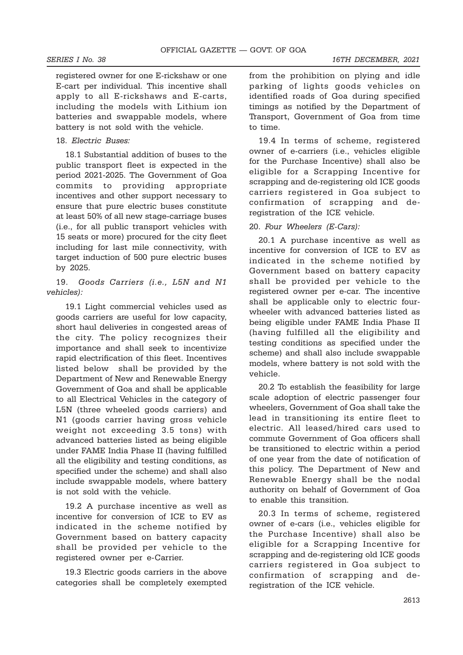registered owner for one E-rickshaw or one E-cart per individual. This incentive shall apply to all E-rickshaws and E-carts, including the models with Lithium ion batteries and swappable models, where battery is not sold with the vehicle.

#### 18. Electric Buses:

18.1 Substantial addition of buses to the public transport fleet is expected in the period 2021-2025. The Government of Goa commits to providing appropriate incentives and other support necessary to ensure that pure electric buses constitute at least 50% of all new stage-carriage buses (i.e., for all public transport vehicles with 15 seats or more) procured for the city fleet including for last mile connectivity, with target induction of 500 pure electric buses by 2025.

19. Goods Carriers (i.e., L5N and N1 vehicles):

19.1 Light commercial vehicles used as goods carriers are useful for low capacity, short haul deliveries in congested areas of the city. The policy recognizes their importance and shall seek to incentivize rapid electrification of this fleet. Incentives listed below shall be provided by the Department of New and Renewable Energy Government of Goa and shall be applicable to all Electrical Vehicles in the category of L5N (three wheeled goods carriers) and N1 (goods carrier having gross vehicle weight not exceeding 3.5 tons) with advanced batteries listed as being eligible under FAME India Phase II (having fulfilled all the eligibility and testing conditions, as specified under the scheme) and shall also include swappable models, where battery is not sold with the vehicle.

19.2 A purchase incentive as well as incentive for conversion of ICE to EV as indicated in the scheme notified by Government based on battery capacity shall be provided per vehicle to the registered owner per e-Carrier.

19.3 Electric goods carriers in the above categories shall be completely exempted

from the prohibition on plying and idle parking of lights goods vehicles on identified roads of Goa during specified timings as notified by the Department of Transport, Government of Goa from time to time.

19.4 In terms of scheme, registered owner of e-carriers (i.e., vehicles eligible for the Purchase Incentive) shall also be eligible for a Scrapping Incentive for scrapping and de-registering old ICE goods carriers registered in Goa subject to confirmation of scrapping and deregistration of the ICE vehicle.

20. Four Wheelers (E-Cars):

20.1 A purchase incentive as well as incentive for conversion of ICE to EV as indicated in the scheme notified by Government based on battery capacity shall be provided per vehicle to the registered owner per e-car. The incentive shall be applicable only to electric fourwheeler with advanced batteries listed as being eligible under FAME India Phase II (having fulfilled all the eligibility and testing conditions as specified under the scheme) and shall also include swappable models, where battery is not sold with the vehicle.

20.2 To establish the feasibility for large scale adoption of electric passenger four wheelers, Government of Goa shall take the lead in transitioning its entire fleet to electric. All leased/hired cars used to commute Government of Goa officers shall be transitioned to electric within a period of one year from the date of notification of this policy. The Department of New and Renewable Energy shall be the nodal authority on behalf of Government of Goa to enable this transition.

20.3 In terms of scheme, registered owner of e-cars (i.e., vehicles eligible for the Purchase Incentive) shall also be eligible for a Scrapping Incentive for scrapping and de-registering old ICE goods carriers registered in Goa subject to confirmation of scrapping and deregistration of the ICE vehicle.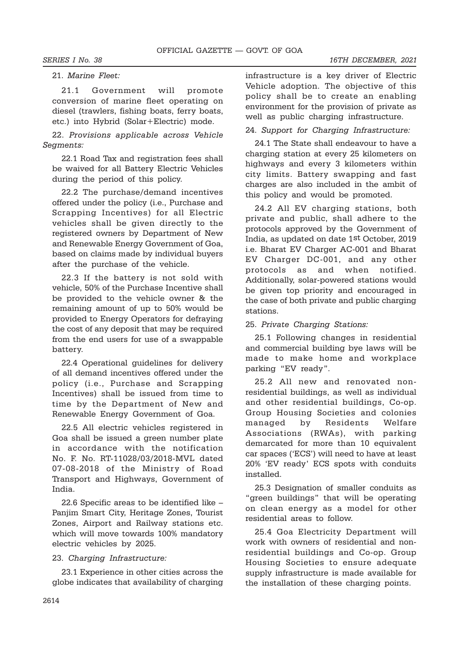#### 21. Marine Fleet:

21.1 Government will promote conversion of marine fleet operating on diesel (trawlers, fishing boats, ferry boats, etc.) into Hybrid (Solar+Electric) mode.

22. Provisions applicable across Vehicle Segments:

22.1 Road Tax and registration fees shall be waived for all Battery Electric Vehicles during the period of this policy.

22.2 The purchase/demand incentives offered under the policy (i.e., Purchase and Scrapping Incentives) for all Electric vehicles shall be given directly to the registered owners by Department of New and Renewable Energy Government of Goa, based on claims made by individual buyers after the purchase of the vehicle.

22.3 If the battery is not sold with vehicle, 50% of the Purchase Incentive shall be provided to the vehicle owner & the remaining amount of up to 50% would be provided to Energy Operators for defraying the cost of any deposit that may be required from the end users for use of a swappable battery.

22.4 Operational guidelines for delivery of all demand incentives offered under the policy (i.e., Purchase and Scrapping Incentives) shall be issued from time to time by the Department of New and Renewable Energy Government of Goa.

22.5 All electric vehicles registered in Goa shall be issued a green number plate in accordance with the notification No. F. No. RT-11028/03/2018-MVL dated 07-08-2018 of the Ministry of Road Transport and Highways, Government of India.

22.6 Specific areas to be identified like – Panjim Smart City, Heritage Zones, Tourist Zones, Airport and Railway stations etc. which will move towards 100% mandatory electric vehicles by 2025.

#### 23. Charging Infrastructure:

23.1 Experience in other cities across the globe indicates that availability of charging infrastructure is a key driver of Electric Vehicle adoption. The objective of this policy shall be to create an enabling environment for the provision of private as well as public charging infrastructure.

#### 24. Support for Charging Infrastructure:

24.1 The State shall endeavour to have a charging station at every 25 kilometers on highways and every 3 kilometers within city limits. Battery swapping and fast charges are also included in the ambit of this policy and would be promoted.

24.2 All EV charging stations, both private and public, shall adhere to the protocols approved by the Government of India, as updated on date 1st October, 2019 i.e. Bharat EV Charger AC-001 and Bharat EV Charger DC-001, and any other protocols as and when notified. Additionally, solar-powered stations would be given top priority and encouraged in the case of both private and public charging stations.

#### 25. Private Charging Stations:

25.1 Following changes in residential and commercial building bye laws will be made to make home and workplace parking "EV ready".

25.2 All new and renovated nonresidential buildings, as well as individual and other residential buildings, Co-op. Group Housing Societies and colonies managed by Residents Welfare Associations (RWAs), with parking demarcated for more than 10 equivalent car spaces ('ECS') will need to have at least 20% 'EV ready' ECS spots with conduits installed.

25.3 Designation of smaller conduits as "green buildings" that will be operating on clean energy as a model for other residential areas to follow.

25.4 Goa Electricity Department will work with owners of residential and nonresidential buildings and Co-op. Group Housing Societies to ensure adequate supply infrastructure is made available for the installation of these charging points.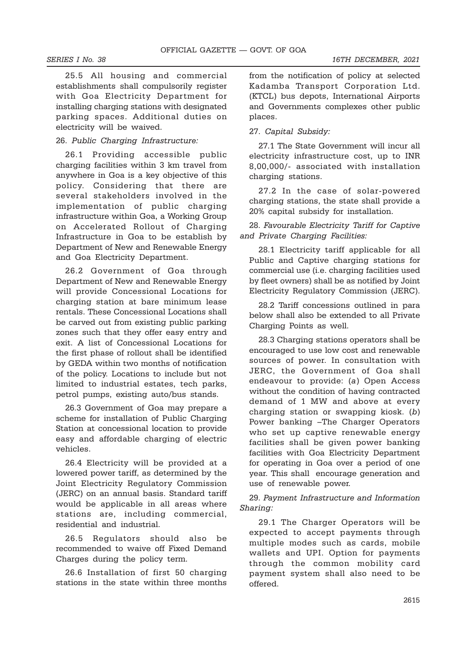25.5 All housing and commercial establishments shall compulsorily register with Goa Electricity Department for installing charging stations with designated parking spaces. Additional duties on electricity will be waived.

### 26. Public Charging Infrastructure:

26.1 Providing accessible public charging facilities within 3 km travel from anywhere in Goa is a key objective of this policy. Considering that there are several stakeholders involved in the implementation of public charging infrastructure within Goa, a Working Group on Accelerated Rollout of Charging Infrastructure in Goa to be establish by Department of New and Renewable Energy and Goa Electricity Department.

26.2 Government of Goa through Department of New and Renewable Energy will provide Concessional Locations for charging station at bare minimum lease rentals. These Concessional Locations shall be carved out from existing public parking zones such that they offer easy entry and exit. A list of Concessional Locations for the first phase of rollout shall be identified by GEDA within two months of notification of the policy. Locations to include but not limited to industrial estates, tech parks, petrol pumps, existing auto/bus stands.

26.3 Government of Goa may prepare a scheme for installation of Public Charging Station at concessional location to provide easy and affordable charging of electric vehicles.

26.4 Electricity will be provided at a lowered power tariff, as determined by the Joint Electricity Regulatory Commission (JERC) on an annual basis. Standard tariff would be applicable in all areas where stations are, including commercial, residential and industrial.

26.5 Regulators should also be recommended to waive off Fixed Demand Charges during the policy term.

26.6 Installation of first 50 charging stations in the state within three months

from the notification of policy at selected Kadamba Transport Corporation Ltd. (KTCL) bus depots, International Airports and Governments complexes other public places.

### 27. Capital Subsidy:

27.1 The State Government will incur all electricity infrastructure cost, up to INR 8,00,000/- associated with installation charging stations.

27.2 In the case of solar-powered charging stations, the state shall provide a 20% capital subsidy for installation.

28. Favourable Electricity Tariff for Captive and Private Charging Facilities:

28.1 Electricity tariff applicable for all Public and Captive charging stations for commercial use (i.e. charging facilities used by fleet owners) shall be as notified by Joint Electricity Regulatory Commission (JERC).

28.2 Tariff concessions outlined in para below shall also be extended to all Private Charging Points as well.

28.3 Charging stations operators shall be encouraged to use low cost and renewable sources of power. In consultation with JERC, the Government of Goa shall endeavour to provide: (a) Open Access without the condition of having contracted demand of 1 MW and above at every charging station or swapping kiosk. (b) Power banking –The Charger Operators who set up captive renewable energy facilities shall be given power banking facilities with Goa Electricity Department for operating in Goa over a period of one year. This shall encourage generation and use of renewable power.

29. Payment Infrastructure and Information Sharing:

29.1 The Charger Operators will be expected to accept payments through multiple modes such as cards, mobile wallets and UPI. Option for payments through the common mobility card payment system shall also need to be offered.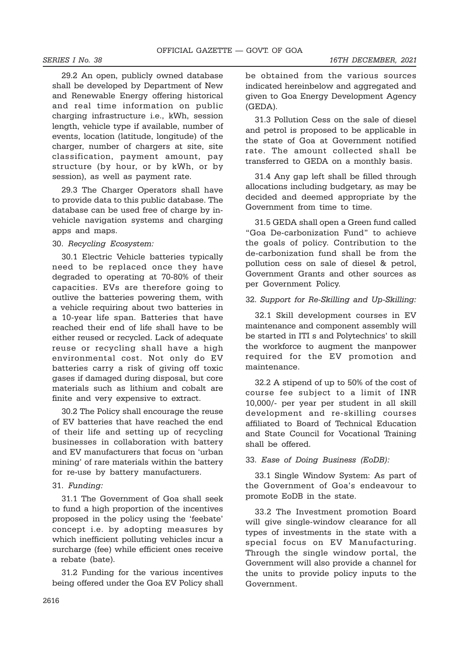29.2 An open, publicly owned database shall be developed by Department of New and Renewable Energy offering historical and real time information on public charging infrastructure i.e., kWh, session length, vehicle type if available, number of events, location (latitude, longitude) of the charger, number of chargers at site, site classification, payment amount, pay structure (by hour, or by kWh, or by session), as well as payment rate.

29.3 The Charger Operators shall have to provide data to this public database. The database can be used free of charge by invehicle navigation systems and charging apps and maps.

### 30. Recycling Ecosystem:

30.1 Electric Vehicle batteries typically need to be replaced once they have degraded to operating at 70-80% of their capacities. EVs are therefore going to outlive the batteries powering them, with a vehicle requiring about two batteries in a 10-year life span. Batteries that have reached their end of life shall have to be either reused or recycled. Lack of adequate reuse or recycling shall have a high environmental cost. Not only do EV batteries carry a risk of giving off toxic gases if damaged during disposal, but core materials such as lithium and cobalt are finite and very expensive to extract.

30.2 The Policy shall encourage the reuse of EV batteries that have reached the end of their life and setting up of recycling businesses in collaboration with battery and EV manufacturers that focus on 'urban mining' of rare materials within the battery for re-use by battery manufacturers.

#### 31. Funding:

31.1 The Government of Goa shall seek to fund a high proportion of the incentives proposed in the policy using the 'feebate' concept i.e. by adopting measures by which inefficient polluting vehicles incur a surcharge (fee) while efficient ones receive a rebate (bate).

31.2 Funding for the various incentives being offered under the Goa EV Policy shall be obtained from the various sources indicated hereinbelow and aggregated and given to Goa Energy Development Agency (GEDA).

31.3 Pollution Cess on the sale of diesel and petrol is proposed to be applicable in the state of Goa at Government notified rate. The amount collected shall be transferred to GEDA on a monthly basis.

31.4 Any gap left shall be filled through allocations including budgetary, as may be decided and deemed appropriate by the Government from time to time.

31.5 GEDA shall open a Green fund called "Goa De-carbonization Fund" to achieve the goals of policy. Contribution to the de-carbonization fund shall be from the pollution cess on sale of diesel & petrol, Government Grants and other sources as per Government Policy.

#### 32. Support for Re-Skilling and Up-Skilling:

32.1 Skill development courses in EV maintenance and component assembly will be started in ITI s and Polytechnics' to skill the workforce to augment the manpower required for the EV promotion and maintenance.

32.2 A stipend of up to 50% of the cost of course fee subject to a limit of INR 10,000/- per year per student in all skill development and re-skilling courses affiliated to Board of Technical Education and State Council for Vocational Training shall be offered.

### 33. Ease of Doing Business (EoDB):

33.1 Single Window System: As part of the Government of Goa's endeavour to promote EoDB in the state.

33.2 The Investment promotion Board will give single-window clearance for all types of investments in the state with a special focus on EV Manufacturing. Through the single window portal, the Government will also provide a channel for the units to provide policy inputs to the Government.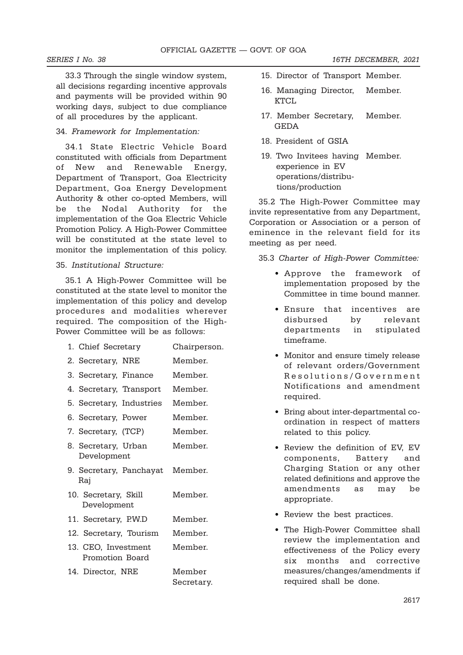33.3 Through the single window system, all decisions regarding incentive approvals and payments will be provided within 90 working days, subject to due compliance of all procedures by the applicant.

### 34. Framework for Implementation:

34.1 State Electric Vehicle Board constituted with officials from Department of New and Renewable Energy, Department of Transport, Goa Electricity Department, Goa Energy Development Authority & other co-opted Members, will be the Nodal Authority for the implementation of the Goa Electric Vehicle Promotion Policy. A High-Power Committee will be constituted at the state level to monitor the implementation of this policy.

### 35. Institutional Structure:

35.1 A High-Power Committee will be constituted at the state level to monitor the implementation of this policy and develop procedures and modalities wherever required. The composition of the High-Power Committee will be as follows:

| 1. Chief Secretary                     | Chairperson.         |
|----------------------------------------|----------------------|
| 2. Secretary, NRE                      | Member.              |
| 3. Secretary, Finance                  | Member.              |
| 4. Secretary, Transport                | Member.              |
| 5. Secretary, Industries               | Member.              |
| 6. Secretary, Power                    | Member.              |
| 7. Secretary, (TCP)                    | Member.              |
| 8. Secretary, Urban<br>Development     | Member.              |
| 9. Secretary, Panchayat<br>Raj         | Member.              |
| 10. Secretary, Skill<br>Development    | Member.              |
| 11. Secretary, P.W.D                   | Member.              |
| 12. Secretary, Tourism                 | Member.              |
| 13. CEO, Investment<br>Promotion Board | Member.              |
| 14. Director, NRE                      | Member<br>Secretary. |

- 15. Director of Transport Member.
- 16. Managing Director, Member. KTCL
- 17. Member Secretary, Member. GEDA
- 18. President of GSIA
- 19. Two Invitees having Member. experience in EV operations/distribu tions/production

35.2 The High-Power Committee may invite representative from any Department, Corporation or Association or a person of eminence in the relevant field for its meeting as per need.

35.3 Charter of High-Power Committee:

- Approve the framework of implementation proposed by the Committee in time bound manner.
- Ensure that incentives are disbursed by relevant departments in stipulated timeframe.
- Monitor and ensure timely release of relevant orders/Government Resolutions/Government Notifications and amendment required.
- Bring about inter-departmental coordination in respect of matters related to this policy.
- Review the definition of EV, EV components, Battery and Charging Station or any other related definitions and approve the amendments as may be appropriate.
- Review the best practices.
- The High-Power Committee shall review the implementation and effectiveness of the Policy every six months and corrective measures/changes/amendments if required shall be done.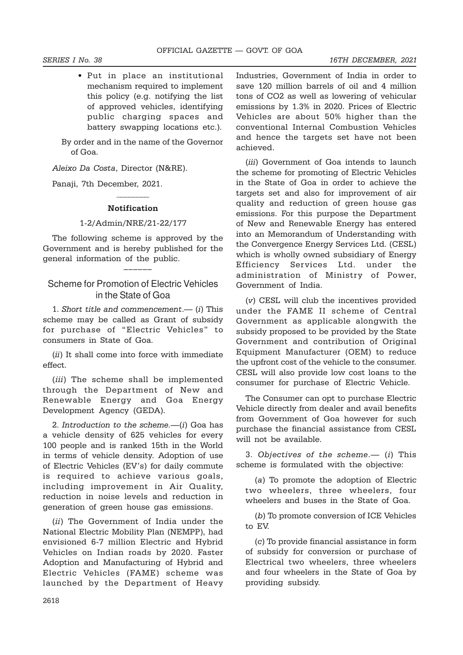• Put in place an institutional mechanism required to implement this policy (e.g. notifying the list of approved vehicles, identifying public charging spaces and battery swapping locations etc.).

By order and in the name of the Governor of Goa.

Aleixo Da Costa, Director (N&RE).

Panaji, 7th December, 2021.

# $\overline{\phantom{a}}$ Notification

#### 1-2/Admin/NRE/21-22/177

The following scheme is approved by the Government and is hereby published for the general information of the public.

––––––

## Scheme for Promotion of Electric Vehicles in the State of Goa

1. Short title and commencement.— (i) This scheme may be called as Grant of subsidy for purchase of "Electric Vehicles" to consumers in State of Goa.

(ii) It shall come into force with immediate effect.

(*iii*) The scheme shall be implemented through the Department of New and Renewable Energy and Goa Energy Development Agency (GEDA).

2. Introduction to the scheme.—(i) Goa has a vehicle density of 625 vehicles for every 100 people and is ranked 15th in the World in terms of vehicle density. Adoption of use of Electric Vehicles (EV's) for daily commute is required to achieve various goals, including improvement in Air Quality, reduction in noise levels and reduction in generation of green house gas emissions.

(ii) The Government of India under the National Electric Mobility Plan (NEMPP), had envisioned 6-7 million Electric and Hybrid Vehicles on Indian roads by 2020. Faster Adoption and Manufacturing of Hybrid and Electric Vehicles (FAME) scheme was launched by the Department of Heavy Industries, Government of India in order to save 120 million barrels of oil and 4 million tons of CO2 as well as lowering of vehicular emissions by 1.3% in 2020. Prices of Electric Vehicles are about 50% higher than the conventional Internal Combustion Vehicles and hence the targets set have not been achieved.

(iii) Government of Goa intends to launch the scheme for promoting of Electric Vehicles in the State of Goa in order to achieve the targets set and also for improvement of air quality and reduction of green house gas emissions. For this purpose the Department of New and Renewable Energy has entered into an Memorandum of Understanding with the Convergence Energy Services Ltd. (CESL) which is wholly owned subsidiary of Energy Efficiency Services Ltd. under the administration of Ministry of Power, Government of India.

(v) CESL will club the incentives provided under the FAME II scheme of Central Government as applicable alongwith the subsidy proposed to be provided by the State Government and contribution of Original Equipment Manufacturer (OEM) to reduce the upfront cost of the vehicle to the consumer. CESL will also provide low cost loans to the consumer for purchase of Electric Vehicle.

The Consumer can opt to purchase Electric Vehicle directly from dealer and avail benefits from Government of Goa however for such purchase the financial assistance from CESL will not be available.

3. Objectives of the scheme.— (i) This scheme is formulated with the objective:

(a) To promote the adoption of Electric two wheelers, three wheelers, four wheelers and buses in the State of Goa.

(b) To promote conversion of ICE Vehicles to EV.

(c) To provide financial assistance in form of subsidy for conversion or purchase of Electrical two wheelers, three wheelers and four wheelers in the State of Goa by providing subsidy.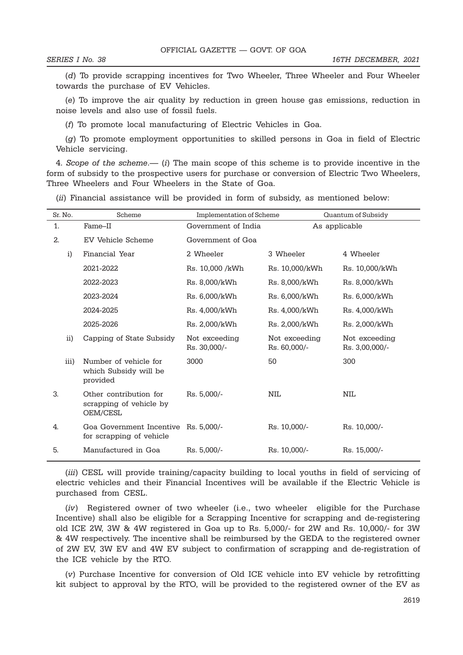(d) To provide scrapping incentives for Two Wheeler, Three Wheeler and Four Wheeler towards the purchase of EV Vehicles.

(e) To improve the air quality by reduction in green house gas emissions, reduction in noise levels and also use of fossil fuels.

(f) To promote local manufacturing of Electric Vehicles in Goa.

(g) To promote employment opportunities to skilled persons in Goa in field of Electric Vehicle servicing.

4. Scope of the scheme.— (i) The main scope of this scheme is to provide incentive in the form of subsidy to the prospective users for purchase or conversion of Electric Two Wheelers, Three Wheelers and Four Wheelers in the State of Goa.

(ii) Financial assistance will be provided in form of subsidy, as mentioned below:

| Sr. No.      | Scheme                                                        | Implementation of Scheme      |                               | Quantum of Subsidy              |
|--------------|---------------------------------------------------------------|-------------------------------|-------------------------------|---------------------------------|
| 1.           | Fame–II                                                       | Government of India           |                               | As applicable                   |
| 2.           | <b>EV Vehicle Scheme</b>                                      | Government of Goa             |                               |                                 |
| $\mathbf{i}$ | Financial Year                                                | 2 Wheeler                     | 3 Wheeler                     | 4 Wheeler                       |
|              | 2021-2022                                                     | Rs. 10,000 /kWh               | Rs. 10,000/kWh                | Rs. 10,000/kWh                  |
|              | 2022-2023                                                     | Rs. 8,000/kWh                 | Rs. 8,000/kWh                 | Rs. 8,000/kWh                   |
|              | 2023-2024                                                     | Rs. 6,000/kWh                 | Rs. 6,000/kWh                 | Rs. 6,000/kWh                   |
|              | 2024-2025                                                     | Rs. 4,000/kWh                 | Rs. 4,000/kWh                 | Rs. 4,000/kWh                   |
|              | 2025-2026                                                     | Rs. 2,000/kWh                 | Rs. 2,000/kWh                 | Rs. 2,000/kWh                   |
| ii)          | Capping of State Subsidy                                      | Not exceeding<br>Rs. 30,000/- | Not exceeding<br>Rs. 60,000/- | Not exceeding<br>Rs. 3,00,000/- |
| iii)         | Number of vehicle for<br>which Subsidy will be<br>provided    | 3000                          | 50                            | 300                             |
| 3.           | Other contribution for<br>scrapping of vehicle by<br>OEM/CESL | Rs. 5,000/-                   | <b>NIL</b>                    | <b>NIL</b>                      |
| 4.           | Goa Government Incentive<br>for scrapping of vehicle          | Rs. 5,000/-                   | Rs. 10,000/-                  | Rs. 10,000/-                    |
| 5.           | Manufactured in Goa                                           | Rs. 5,000/-                   | Rs. 10,000/-                  | Rs. 15,000/-                    |

(iii) CESL will provide training/capacity building to local youths in field of servicing of electric vehicles and their Financial Incentives will be available if the Electric Vehicle is purchased from CESL.

(iv) Registered owner of two wheeler (i.e., two wheeler eligible for the Purchase Incentive) shall also be eligible for a Scrapping Incentive for scrapping and de-registering old ICE 2W, 3W & 4W registered in Goa up to Rs. 5,000/- for 2W and Rs. 10,000/- for 3W & 4W respectively. The incentive shall be reimbursed by the GEDA to the registered owner of 2W EV, 3W EV and 4W EV subject to confirmation of scrapping and de-registration of the ICE vehicle by the RTO.

(v) Purchase Incentive for conversion of Old ICE vehicle into EV vehicle by retrofitting kit subject to approval by the RTO, will be provided to the registered owner of the EV as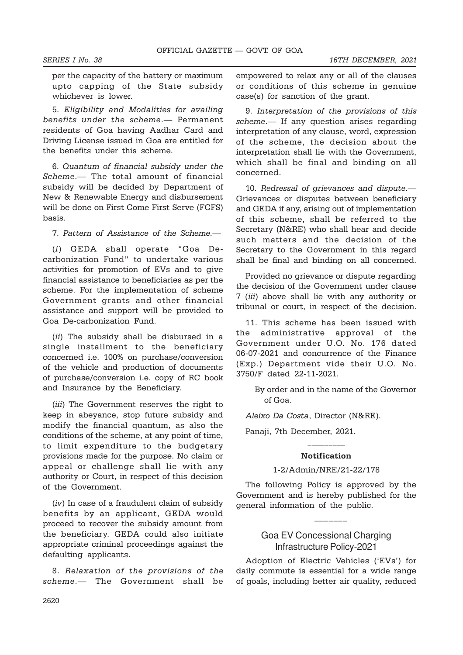SERIES I No. 38 16TH DECEMBER, 2021

per the capacity of the battery or maximum upto capping of the State subsidy whichever is lower.

5. Eligibility and Modalities for availing benefits under the scheme.— Permanent residents of Goa having Aadhar Card and Driving License issued in Goa are entitled for the benefits under this scheme.

6. Quantum of financial subsidy under the Scheme.— The total amount of financial subsidy will be decided by Department of New & Renewable Energy and disbursement will be done on First Come First Serve (FCFS) basis.

7. Pattern of Assistance of the Scheme.—

(i) GEDA shall operate "Goa Decarbonization Fund" to undertake various activities for promotion of EVs and to give financial assistance to beneficiaries as per the scheme. For the implementation of scheme Government grants and other financial assistance and support will be provided to Goa De-carbonization Fund.

(*ii*) The subsidy shall be disbursed in a single installment to the beneficiary concerned i.e. 100% on purchase/conversion of the vehicle and production of documents of purchase/conversion i.e. copy of RC book and Insurance by the Beneficiary.

(iii) The Government reserves the right to keep in abeyance, stop future subsidy and modify the financial quantum, as also the conditions of the scheme, at any point of time, to limit expenditure to the budgetary provisions made for the purpose. No claim or appeal or challenge shall lie with any authority or Court, in respect of this decision of the Government.

(iv) In case of a fraudulent claim of subsidy benefits by an applicant, GEDA would proceed to recover the subsidy amount from the beneficiary. GEDA could also initiate appropriate criminal proceedings against the defaulting applicants.

8. Relaxation of the provisions of the scheme.— The Government shall be empowered to relax any or all of the clauses or conditions of this scheme in genuine case(s) for sanction of the grant.

9. Interpretation of the provisions of this scheme.— If any question arises regarding interpretation of any clause, word, expression of the scheme, the decision about the interpretation shall lie with the Government, which shall be final and binding on all concerned.

10. Redressal of grievances and dispute.— Grievances or disputes between beneficiary and GEDA if any, arising out of implementation of this scheme, shall be referred to the Secretary (N&RE) who shall hear and decide such matters and the decision of the Secretary to the Government in this regard shall be final and binding on all concerned.

Provided no grievance or dispute regarding the decision of the Government under clause 7 (iii) above shall lie with any authority or tribunal or court, in respect of the decision.

11. This scheme has been issued with the administrative approval of the Government under U.O. No. 176 dated 06-07-2021 and concurrence of the Finance (Exp.) Department vide their U.O. No. 3750/F dated 22-11-2021.

> By order and in the name of the Governor of Goa.

Aleixo Da Costa, Director (N&RE).

Panaji, 7th December, 2021.

# \_\_\_\_\_\_\_\_\_ Notification

### 1-2/Admin/NRE/21-22/178

The following Policy is approved by the Government and is hereby published for the general information of the public.

## Goa EV Concessional Charging Infrastructure Policy-2021

–––––––

Adoption of Electric Vehicles ('EVs') for daily commute is essential for a wide range of goals, including better air quality, reduced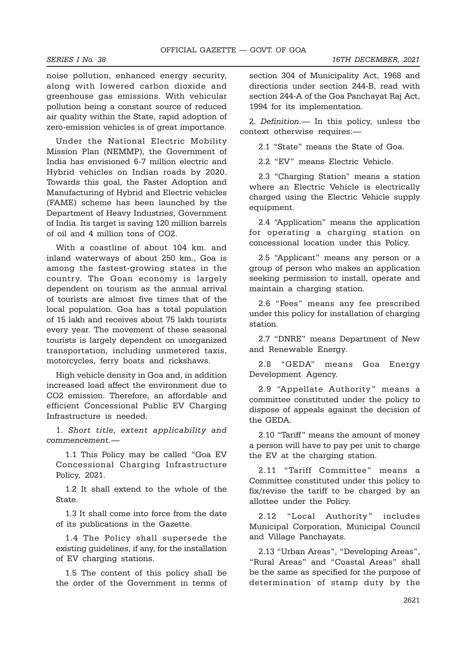noise pollution, enhanced energy security, along with lowered carbon dioxide and greenhouse gas emissions. With vehicular pollution being a constant source of reduced air quality within the State, rapid adoption of zero-emission vehicles is of great importance.

Under the National Electric Mobility Mission Plan (NEMMP), the Government of India has envisioned 6-7 million electric and Hybrid vehicles on Indian roads by 2020. Towards this goal, the Faster Adoption and Manufacturing of Hybrid and Electric vehicles (FAME) scheme has been launched by the Department of Heavy Industries, Government of India. Its target is saving 120 million barrels of oil and 4 million tons of CO2.

With a coastline of about 104 km. and inland waterways of about 250 km., Goa is among the fastest-growing states in the country. The Goan economy is largely dependent on tourism as the annual arrival of tourists are almost five times that of the local population. Goa has a total population of 15 lakh and receives about 75 lakh tourists every year. The movement of these seasonal tourists is largely dependent on unorganized transportation, including unmetered taxis, motorcycles, ferry boats and rickshaws.

High vehicle density in Goa and, in addition increased load affect the environment due to CO2 emission. Therefore, an affordable and efficient Concessional Public EV Charging Infrastructure is needed.

1. Short title, extent applicability and commencement.—

1.1 This Policy may be called "Goa EV Concessional Charging Infrastructure Policy, 2021.

1.2 It shall extend to the whole of the State.

1.3 It shall come into force from the date of its publications in the Gazette.

1.4 The Policy shall supersede the existing guidelines, if any, for the installation of EV charging stations.

1.5 The content of this policy shall be the order of the Government in terms of section 304 of Municipality Act, 1968 and directions under section 244-B, read with section 244-A of the Goa Panchayat Raj Act, 1994 for its implementation.

2. Definition.— In this policy, unless the context otherwise requires:—

2.1 "State" means the State of Goa.

2.2 "EV" means Electric Vehicle.

2.3 "Charging Station" means a station where an Electric Vehicle is electrically charged using the Electric Vehicle supply equipment.

2.4 "Application" means the application for operating a charging station on concessional location under this Policy.

2.5 "Applicant" means any person or a group of person who makes an application seeking permission to install, operate and maintain a charging station.

2.6 "Fees" means any fee prescribed under this policy for installation of charging station.

2.7 "DNRE" means Department of New and Renewable Energy.

2.8 "GEDA" means Goa Energy Development Agency.

2.9 "Appellate Authority" means a committee constituted under the policy to dispose of appeals against the decision of the GEDA.

2.10 "Tariff" means the amount of money a person will have to pay per unit to charge the EV at the charging station.

2.11 "Tariff Committee" means a Committee constituted under this policy to fix/revise the tariff to be charged by an allottee under the Policy.

2.12 "Local Authority" includes Municipal Corporation, Municipal Council and Village Panchayats.

2.13 "Urban Areas", "Developing Areas", "Rural Areas" and "Coastal Areas" shall be the same as specified for the purpose of determination of stamp duty by the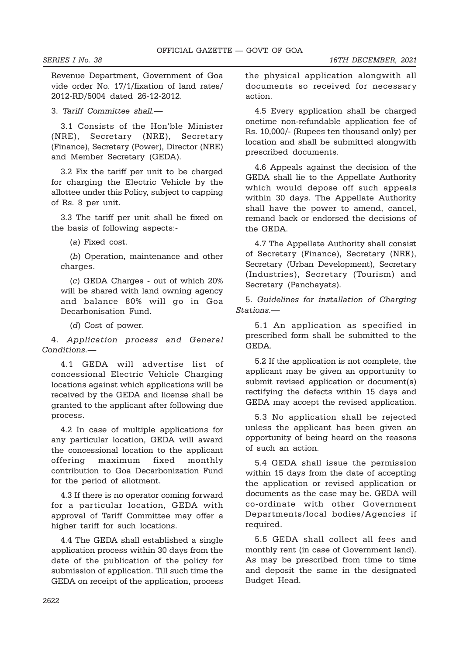Revenue Department, Government of Goa vide order No. 17/1/fixation of land rates/ 2012-RD/5004 dated 26-12-2012.

3. Tariff Committee shall.—

3.1 Consists of the Hon'ble Minister (NRE), Secretary (NRE), Secretary (Finance), Secretary (Power), Director (NRE) and Member Secretary (GEDA).

3.2 Fix the tariff per unit to be charged for charging the Electric Vehicle by the allottee under this Policy, subject to capping of Rs. 8 per unit.

3.3 The tariff per unit shall be fixed on the basis of following aspects:-

(a) Fixed cost.

(b) Operation, maintenance and other charges.

(c) GEDA Charges - out of which 20% will be shared with land owning agency and balance 80% will go in Goa Decarbonisation Fund.

(d) Cost of power.

4. Application process and General Conditions.—

4.1 GEDA will advertise list of concessional Electric Vehicle Charging locations against which applications will be received by the GEDA and license shall be granted to the applicant after following due process.

4.2 In case of multiple applications for any particular location, GEDA will award the concessional location to the applicant offering maximum fixed monthly contribution to Goa Decarbonization Fund for the period of allotment.

4.3 If there is no operator coming forward for a particular location, GEDA with approval of Tariff Committee may offer a higher tariff for such locations.

4.4 The GEDA shall established a single application process within 30 days from the date of the publication of the policy for submission of application. Till such time the GEDA on receipt of the application, process the physical application alongwith all documents so received for necessary action.

4.5 Every application shall be charged onetime non-refundable application fee of Rs. 10,000/- (Rupees ten thousand only) per location and shall be submitted alongwith prescribed documents.

4.6 Appeals against the decision of the GEDA shall lie to the Appellate Authority which would depose off such appeals within 30 days. The Appellate Authority shall have the power to amend, cancel, remand back or endorsed the decisions of the GEDA.

4.7 The Appellate Authority shall consist of Secretary (Finance), Secretary (NRE), Secretary (Urban Development), Secretary (Industries), Secretary (Tourism) and Secretary (Panchayats).

5. Guidelines for installation of Charging Stations.—

5.1 An application as specified in prescribed form shall be submitted to the GEDA.

5.2 If the application is not complete, the applicant may be given an opportunity to submit revised application or document(s) rectifying the defects within 15 days and GEDA may accept the revised application.

5.3 No application shall be rejected unless the applicant has been given an opportunity of being heard on the reasons of such an action.

5.4 GEDA shall issue the permission within 15 days from the date of accepting the application or revised application or documents as the case may be. GEDA will co-ordinate with other Government Departments/local bodies/Agencies if required.

5.5 GEDA shall collect all fees and monthly rent (in case of Government land). As may be prescribed from time to time and deposit the same in the designated Budget Head.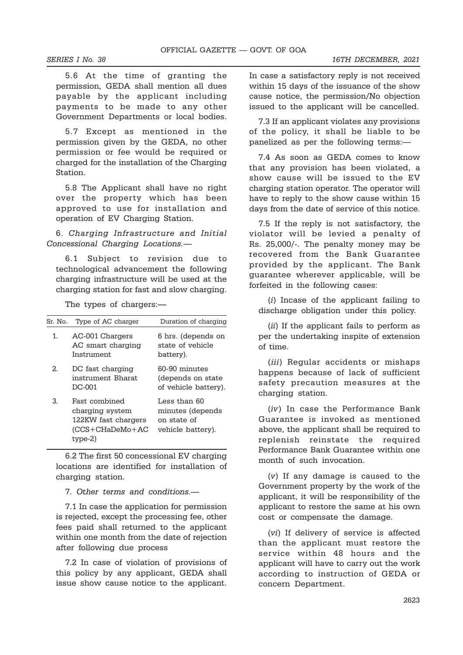5.6 At the time of granting the permission, GEDA shall mention all dues payable by the applicant including payments to be made to any other Government Departments or local bodies.

5.7 Except as mentioned in the permission given by the GEDA, no other permission or fee would be required or charged for the installation of the Charging Station.

5.8 The Applicant shall have no right over the property which has been approved to use for installation and operation of EV Charging Station.

6. Charging Infrastructure and Initial Concessional Charging Locations.—

6.1 Subject to revision due to technological advancement the following charging infrastructure will be used at the charging station for fast and slow charging.

The types of chargers:—

| Sr. No. | Type of AC charger                                                                           | Duration of charging                                                 |
|---------|----------------------------------------------------------------------------------------------|----------------------------------------------------------------------|
| 1.      | AC-001 Chargers<br>AC smart charging<br>Instrument                                           | 6 hrs. (depends on<br>state of vehicle<br>battery).                  |
| 2.      | DC fast charging<br>instrument Bharat<br>DC-001                                              | 60-90 minutes<br>(depends on state<br>of vehicle battery).           |
| 3.      | Fast combined<br>charging system<br>122KW fast chargers<br>$(CCS + CHaDeMo + AC)$<br>type-2) | Less than 60<br>minutes (depends<br>on state of<br>vehicle battery). |

6.2 The first 50 concessional EV charging locations are identified for installation of charging station.

7. Other terms and conditions.—

7.1 In case the application for permission is rejected, except the processing fee, other fees paid shall returned to the applicant within one month from the date of rejection after following due process

7.2 In case of violation of provisions of this policy by any applicant, GEDA shall issue show cause notice to the applicant.

In case a satisfactory reply is not received within 15 days of the issuance of the show cause notice, the permission/No objection issued to the applicant will be cancelled.

7.3 If an applicant violates any provisions of the policy, it shall be liable to be panelized as per the following terms:—

7.4 As soon as GEDA comes to know that any provision has been violated, a show cause will be issued to the EV charging station operator. The operator will have to reply to the show cause within 15 days from the date of service of this notice.

7.5 If the reply is not satisfactory, the violator will be levied a penalty of Rs. 25,000/-. The penalty money may be recovered from the Bank Guarantee provided by the applicant. The Bank guarantee wherever applicable, will be forfeited in the following cases:

(i) Incase of the applicant failing to discharge obligation under this policy.

(ii) If the applicant fails to perform as per the undertaking inspite of extension of time.

(*iii*) Regular accidents or mishaps happens because of lack of sufficient safety precaution measures at the charging station.

(iv) In case the Performance Bank Guarantee is invoked as mentioned above, the applicant shall be required to replenish reinstate the required Performance Bank Guarantee within one month of such invocation.

(v) If any damage is caused to the Government property by the work of the applicant, it will be responsibility of the applicant to restore the same at his own cost or compensate the damage.

(vi) If delivery of service is affected than the applicant must restore the service within 48 hours and the applicant will have to carry out the work according to instruction of GEDA or concern Department.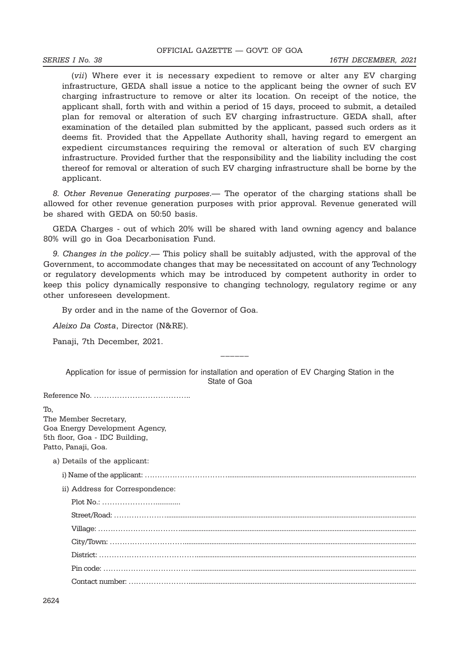(vii) Where ever it is necessary expedient to remove or alter any EV charging infrastructure, GEDA shall issue a notice to the applicant being the owner of such EV charging infrastructure to remove or alter its location. On receipt of the notice, the applicant shall, forth with and within a period of 15 days, proceed to submit, a detailed plan for removal or alteration of such EV charging infrastructure. GEDA shall, after examination of the detailed plan submitted by the applicant, passed such orders as it deems fit. Provided that the Appellate Authority shall, having regard to emergent an expedient circumstances requiring the removal or alteration of such EV charging infrastructure. Provided further that the responsibility and the liability including the cost thereof for removal or alteration of such EV charging infrastructure shall be borne by the applicant.

8. Other Revenue Generating purposes.— The operator of the charging stations shall be allowed for other revenue generation purposes with prior approval. Revenue generated will be shared with GEDA on 50:50 basis.

GEDA Charges - out of which 20% will be shared with land owning agency and balance 80% will go in Goa Decarbonisation Fund.

9. Changes in the policy.— This policy shall be suitably adjusted, with the approval of the Government, to accommodate changes that may be necessitated on account of any Technology or regulatory developments which may be introduced by competent authority in order to keep this policy dynamically responsive to changing technology, regulatory regime or any other unforeseen development.

By order and in the name of the Governor of Goa.

Aleixo Da Costa, Director (N&RE).

Panaji, 7th December, 2021.

Application for issue of permission for installation and operation of EV Charging Station in the State of Goa

\_\_\_\_\_\_

Reference No. ………………………………..

To, The Member Secretary, Goa Energy Development Agency, 5th floor, Goa - IDC Building, Patto, Panaji, Goa.

a) Details of the applicant:

i) Name of the applicant: …………………………….........................................................................................................

ii) Address for Correspondence: